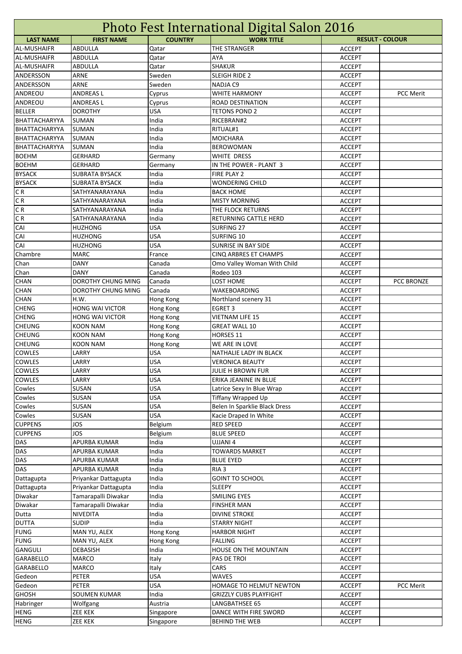|                                |                                |                    | <b>Photo Fest International Digital Salon 2016</b> |                                |                        |
|--------------------------------|--------------------------------|--------------------|----------------------------------------------------|--------------------------------|------------------------|
| <b>LAST NAME</b>               | <b>FIRST NAME</b>              | <b>COUNTRY</b>     | <b>WORK TITLE</b>                                  |                                | <b>RESULT - COLOUR</b> |
| <b>AL-MUSHAIFR</b>             | <b>ABDULLA</b>                 | Qatar              | THE STRANGER                                       | <b>ACCEPT</b>                  |                        |
| <b>AL-MUSHAIFR</b>             | <b>ABDULLA</b>                 | Qatar              | AYA                                                | <b>ACCEPT</b>                  |                        |
| <b>AL-MUSHAIFR</b>             | <b>ABDULLA</b>                 | Qatar              | <b>SHAKUR</b>                                      | ACCEPT                         |                        |
| ANDERSSON                      | ARNE                           | Sweden             | SLEIGH RIDE 2                                      | <b>ACCEPT</b>                  |                        |
| ANDERSSON                      | <b>ARNE</b>                    | Sweden             | NADJA C9                                           | <b>ACCEPT</b>                  |                        |
| ANDREOU                        | <b>ANDREASL</b>                | Cyprus             | <b>WHITE HARMONY</b>                               | <b>ACCEPT</b>                  | <b>PCC Merit</b>       |
| ANDREOU                        | <b>ANDREASL</b>                | Cyprus             | <b>ROAD DESTINATION</b>                            | <b>ACCEPT</b>                  |                        |
| <b>BELLER</b>                  | <b>DOROTHY</b>                 | <b>USA</b>         | <b>TETONS POND 2</b>                               | <b>ACCEPT</b>                  |                        |
| BHATTACHARYYA                  | <b>SUMAN</b>                   | India              | RICEBRAN#2                                         | <b>ACCEPT</b>                  |                        |
| BHATTACHARYYA                  | <b>SUMAN</b>                   | India              | RITUAL#1                                           | <b>ACCEPT</b>                  |                        |
| BHATTACHARYYA<br>BHATTACHARYYA | <b>SUMAN</b>                   | India<br>India     | MOICHARA<br><b>BEROWOMAN</b>                       | ACCEPT<br><b>ACCEPT</b>        |                        |
| <b>BOEHM</b>                   | <b>SUMAN</b><br><b>GERHARD</b> |                    | WHITE DRESS                                        | <b>ACCEPT</b>                  |                        |
| <b>BOEHM</b>                   | <b>GERHARD</b>                 | Germany            | IN THE POWER - PLANT 3                             | <b>ACCEPT</b>                  |                        |
| <b>BYSACK</b>                  | <b>SUBRATA BYSACK</b>          | Germany<br>India   | FIRE PLAY 2                                        | ACCEPT                         |                        |
| <b>BYSACK</b>                  | <b>SUBRATA BYSACK</b>          | India              | <b>WONDERING CHILD</b>                             | <b>ACCEPT</b>                  |                        |
| CR                             | SATHYANARAYANA                 | India              | <b>BACK HOME</b>                                   | <b>ACCEPT</b>                  |                        |
| CR                             | SATHYANARAYANA                 | India              | <b>MISTY MORNING</b>                               | <b>ACCEPT</b>                  |                        |
| CR                             | SATHYANARAYANA                 | India              | THE FLOCK RETURNS                                  | <b>ACCEPT</b>                  |                        |
| CR                             | SATHYANARAYANA                 | India              | RETURNING CATTLE HERD                              | <b>ACCEPT</b>                  |                        |
| CAI                            | <b>HUZHONG</b>                 | <b>USA</b>         | SURFING 27                                         | <b>ACCEPT</b>                  |                        |
| CAI                            | <b>HUZHONG</b>                 | <b>USA</b>         | SURFING 10                                         | <b>ACCEPT</b>                  |                        |
| CAI                            | <b>HUZHONG</b>                 | <b>USA</b>         | SUNRISE IN BAY SIDE                                | ACCEPT                         |                        |
| Chambre                        | <b>MARC</b>                    | France             | <b>CINQ ARBRES ET CHAMPS</b>                       | <b>ACCEPT</b>                  |                        |
| Chan                           | <b>DANY</b>                    | Canada             | Omo Valley Woman With Child                        | <b>ACCEPT</b>                  |                        |
| Chan                           | <b>DANY</b>                    | Canada             | Rodeo 103                                          | <b>ACCEPT</b>                  |                        |
| <b>CHAN</b>                    | DOROTHY CHUNG MING             | Canada             | LOST HOME                                          | <b>ACCEPT</b>                  | PCC BRONZE             |
| <b>CHAN</b>                    | DOROTHY CHUNG MING             | Canada             | WAKEBOARDING                                       | ACCEPT                         |                        |
| <b>CHAN</b>                    | H.W.                           | Hong Kong          | Northland scenery 31                               | <b>ACCEPT</b>                  |                        |
| <b>CHENG</b>                   | <b>HONG WAI VICTOR</b>         | Hong Kong          | <b>EGRET 3</b>                                     | <b>ACCEPT</b>                  |                        |
| <b>CHENG</b>                   | <b>HONG WAI VICTOR</b>         | Hong Kong          | <b>VIETNAM LIFE 15</b>                             | <b>ACCEPT</b>                  |                        |
| <b>CHEUNG</b>                  | <b>KOON NAM</b>                | Hong Kong          | <b>GREAT WALL 10</b>                               | <b>ACCEPT</b>                  |                        |
| <b>CHEUNG</b>                  | <b>KOON NAM</b>                | Hong Kong          | HORSES 11                                          | <b>ACCEPT</b>                  |                        |
| <b>CHEUNG</b>                  | <b>KOON NAM</b>                | Hong Kong          | WE ARE IN LOVE                                     | <b>ACCEPT</b>                  |                        |
| <b>COWLES</b>                  | LARRY                          | <b>USA</b>         | NATHALIE LADY IN BLACK                             | <b>ACCEPT</b>                  |                        |
| <b>COWLES</b>                  | LARRY                          | <b>USA</b>         | <b>VERONICA BEAUTY</b>                             | <b>ACCEPT</b>                  |                        |
| <b>COWLES</b>                  | LARRY                          | <b>USA</b>         | JULIE H BROWN FUR                                  | <b>ACCEPT</b>                  |                        |
| <b>COWLES</b>                  | LARRY                          | <b>USA</b>         | ERIKA JEANINE IN BLUE                              | <b>ACCEPT</b>                  |                        |
| Cowles                         | SUSAN                          | <b>USA</b>         | Latrice Sexy In Blue Wrap                          | <b>ACCEPT</b>                  |                        |
| Cowles                         | SUSAN                          | <b>USA</b>         | Tiffany Wrapped Up                                 | <b>ACCEPT</b>                  |                        |
| Cowles                         | SUSAN                          | <b>USA</b>         | Belen In Sparklie Black Dress                      | <b>ACCEPT</b>                  |                        |
| Cowles<br><b>CUPPENS</b>       | SUSAN<br><b>JOS</b>            | <b>USA</b>         | Kacie Draped In White                              | <b>ACCEPT</b>                  |                        |
| <b>CUPPENS</b>                 | JOS                            | Belgium<br>Belgium | <b>RED SPEED</b><br><b>BLUE SPEED</b>              | <b>ACCEPT</b><br><b>ACCEPT</b> |                        |
| <b>DAS</b>                     | APURBA KUMAR                   | India              | UJJANI 4                                           | <b>ACCEPT</b>                  |                        |
| DAS                            | APURBA KUMAR                   | India              | <b>TOWARDS MARKET</b>                              | <b>ACCEPT</b>                  |                        |
| DAS                            | APURBA KUMAR                   | India              | <b>BLUE EYED</b>                                   | <b>ACCEPT</b>                  |                        |
| <b>DAS</b>                     | APURBA KUMAR                   | India              | RIA <sub>3</sub>                                   | <b>ACCEPT</b>                  |                        |
| Dattagupta                     | Priyankar Dattagupta           | India              | <b>GOINT TO SCHOOL</b>                             | <b>ACCEPT</b>                  |                        |
| Dattagupta                     | Priyankar Dattagupta           | India              | <b>SLEEPY</b>                                      | <b>ACCEPT</b>                  |                        |
| Diwakar                        | Tamarapalli Diwakar            | India              | SMILING EYES                                       | <b>ACCEPT</b>                  |                        |
| Diwakar                        | Tamarapalli Diwakar            | India              | <b>FINSHER MAN</b>                                 | <b>ACCEPT</b>                  |                        |
| Dutta                          | NIVEDITA                       | India              | <b>DIVINE STROKE</b>                               | <b>ACCEPT</b>                  |                        |
| <b>DUTTA</b>                   | <b>SUDIP</b>                   | India              | <b>STARRY NIGHT</b>                                | <b>ACCEPT</b>                  |                        |
| <b>FUNG</b>                    | MAN YU, ALEX                   | Hong Kong          | <b>HARBOR NIGHT</b>                                | <b>ACCEPT</b>                  |                        |
| <b>FUNG</b>                    | MAN YU, ALEX                   | Hong Kong          | <b>FALLING</b>                                     | <b>ACCEPT</b>                  |                        |
| GANGULI                        | <b>DEBASISH</b>                | India              | HOUSE ON THE MOUNTAIN                              | <b>ACCEPT</b>                  |                        |
| GARABELLO                      | MARCO                          | Italy              | PAS DE TROI                                        | <b>ACCEPT</b>                  |                        |
| <b>GARABELLO</b>               | MARCO                          | Italy              | CARS                                               | <b>ACCEPT</b>                  |                        |
| Gedeon                         | PETER                          | <b>USA</b>         | WAVES                                              | <b>ACCEPT</b>                  |                        |
| Gedeon                         | PETER                          | <b>USA</b>         | HOMAGE TO HELMUT NEWTON                            | ACCEPT                         | <b>PCC Merit</b>       |
| <b>GHOSH</b>                   | <b>SOUMEN KUMAR</b>            | India              | GRIZZLY CUBS PLAYFIGHT                             | <b>ACCEPT</b>                  |                        |
| Habringer                      | Wolfgang                       | Austria            | LANGBATHSEE 65                                     | <b>ACCEPT</b>                  |                        |
| <b>HENG</b>                    | <b>ZEE KEK</b>                 | Singapore          | DANCE WITH FIRE SWORD                              | <b>ACCEPT</b>                  |                        |
| <b>HENG</b>                    | ZEE KEK                        | Singapore          | <b>BEHIND THE WEB</b>                              | <b>ACCEPT</b>                  |                        |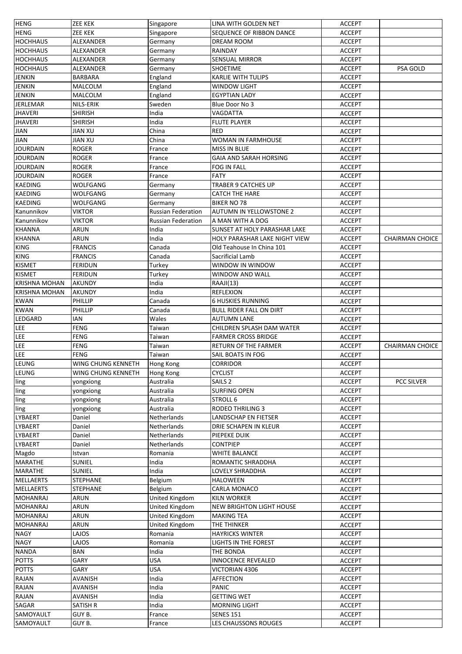| <b>HENG</b>            | <b>ZEE KEK</b>     | Singapore                 | LINA WITH GOLDEN NET                     | <b>ACCEPT</b>                  |                        |
|------------------------|--------------------|---------------------------|------------------------------------------|--------------------------------|------------------------|
| <b>HENG</b>            | <b>ZEE KEK</b>     | Singapore                 | SEQUENCE OF RIBBON DANCE                 | <b>ACCEPT</b>                  |                        |
| HOCHHAUS               | ALEXANDER          | Germany                   | DREAM ROOM                               | <b>ACCEPT</b>                  |                        |
| <b>HOCHHAUS</b>        | ALEXANDER          | Germany                   | RAINDAY                                  | <b>ACCEPT</b>                  |                        |
| <b>HOCHHAUS</b>        | ALEXANDER          | Germany                   | <b>SENSUAL MIRROR</b>                    | <b>ACCEPT</b>                  |                        |
| <b>HOCHHAUS</b>        | ALEXANDER          | Germany                   | <b>SHOETIME</b>                          | <b>ACCEPT</b>                  | PSA GOLD               |
| <b>JENKIN</b>          | <b>BARBARA</b>     | England                   | <b>KARLIE WITH TULIPS</b>                | <b>ACCEPT</b>                  |                        |
| JENKIN                 | MALCOLM            | England                   | WINDOW LIGHT                             | <b>ACCEPT</b>                  |                        |
| <b>JENKIN</b>          | MALCOLM            | England                   | <b>EGYPTIAN LADY</b>                     | <b>ACCEPT</b>                  |                        |
| <b>JERLEMAR</b>        | NILS-ERIK          | Sweden                    | Blue Door No 3                           | <b>ACCEPT</b>                  |                        |
| <b>JHAVERI</b>         | <b>SHIRISH</b>     | India                     | VAGDATTA                                 | <b>ACCEPT</b>                  |                        |
| <b>JHAVERI</b>         | <b>SHIRISH</b>     | India                     | <b>FLUTE PLAYER</b>                      |                                |                        |
|                        |                    | China                     | <b>RED</b>                               | <b>ACCEPT</b>                  |                        |
| <b>JIAN</b>            | <b>JIAN XU</b>     |                           |                                          | <b>ACCEPT</b>                  |                        |
| JIAN                   | <b>JIAN XU</b>     | China                     | WOMAN IN FARMHOUSE                       | <b>ACCEPT</b>                  |                        |
| <b>JOURDAIN</b>        | <b>ROGER</b>       | France                    | MISS IN BLUE                             | <b>ACCEPT</b>                  |                        |
| <b>JOURDAIN</b>        | <b>ROGER</b>       | France                    | GAIA AND SARAH HORSING                   | <b>ACCEPT</b>                  |                        |
| <b>JOURDAIN</b>        | <b>ROGER</b>       | France                    | <b>FOG IN FALL</b>                       | <b>ACCEPT</b>                  |                        |
| <b>JOURDAIN</b>        | <b>ROGER</b>       | France                    | <b>FATY</b>                              | <b>ACCEPT</b>                  |                        |
| <b>KAEDING</b>         | WOLFGANG           | Germany                   | <b>TRABER 9 CATCHES UP</b>               | <b>ACCEPT</b>                  |                        |
| <b>KAEDING</b>         | WOLFGANG           | Germany                   | <b>CATCH THE HARE</b>                    | <b>ACCEPT</b>                  |                        |
| <b>KAEDING</b>         | WOLFGANG           | Germany                   | BIKER NO 78                              | <b>ACCEPT</b>                  |                        |
| Kanunnikov             | <b>VIKTOR</b>      | <b>Russian Federation</b> | <b>AUTUMN IN YELLOWSTONE 2</b>           | <b>ACCEPT</b>                  |                        |
| Kanunnikov             | VIKTOR             | <b>Russian Federation</b> | A MAN WITH A DOG                         | <b>ACCEPT</b>                  |                        |
| <b>KHANNA</b>          | <b>ARUN</b>        | India                     | SUNSET AT HOLY PARASHAR LAKE             | <b>ACCEPT</b>                  |                        |
| <b>KHANNA</b>          | ARUN               | India                     | HOLY PARASHAR LAKE NIGHT VIEW            | <b>ACCEPT</b>                  | <b>CHAIRMAN CHOICE</b> |
| <b>KING</b>            | <b>FRANCIS</b>     | Canada                    | Old Teahouse In China 101                | <b>ACCEPT</b>                  |                        |
| <b>KING</b>            | <b>FRANCIS</b>     | Canada                    | Sacrificial Lamb                         | <b>ACCEPT</b>                  |                        |
| <b>KISMET</b>          | <b>FERIDUN</b>     | Turkey                    | WINDOW IN WINDOW                         | <b>ACCEPT</b>                  |                        |
| <b>KISMET</b>          | <b>FERIDUN</b>     | Turkey                    | WINDOW AND WALL                          | <b>ACCEPT</b>                  |                        |
| <b>KRISHNA MOHAN</b>   | <b>AKUNDY</b>      | India                     | <b>RAAJI(13)</b>                         | <b>ACCEPT</b>                  |                        |
| <b>KRISHNA MOHAN</b>   | AKUNDY             | India                     | REFLEXION                                | <b>ACCEPT</b>                  |                        |
| <b>KWAN</b>            | PHILLIP            | Canada                    | <b>6 HUSKIES RUNNING</b>                 | <b>ACCEPT</b>                  |                        |
| <b>KWAN</b>            | PHILLIP            |                           |                                          |                                |                        |
| LEDGARD                | IAN                | Canada<br>Wales           | <b>BULL RIDER FALL ON DIRT</b>           | <b>ACCEPT</b>                  |                        |
|                        |                    |                           | AUTUMN LANE                              | <b>ACCEPT</b>                  |                        |
| LEE.                   | <b>FENG</b>        | Taiwan                    | CHILDREN SPLASH DAM WATER                | <b>ACCEPT</b>                  |                        |
| <b>LEE</b>             | <b>FENG</b>        | Taiwan                    | <b>FARMER CROSS BRIDGE</b>               | <b>ACCEPT</b>                  |                        |
| LEE                    | <b>FENG</b>        | Taiwan                    | RETURN OF THE FARMER                     | <b>ACCEPT</b>                  | CHAIRMAN CHOICE        |
| <b>LEE</b>             | <b>FENG</b>        | Taiwan                    | SAIL BOATS IN FOG                        | <b>ACCEPT</b>                  |                        |
| LEUNG                  | WING CHUNG KENNETH | Hong Kong                 | <b>CORRIDOR</b>                          | <b>ACCEPT</b>                  |                        |
| LEUNG                  | WING CHUNG KENNETH | Hong Kong                 | <b>CYCLIST</b>                           | <b>ACCEPT</b>                  |                        |
| ling                   | yongxiong          | Australia                 | SAILS <sub>2</sub>                       | <b>ACCEPT</b>                  | PCC SILVER             |
| ling                   | yongxiong          | Australia                 | <b>SURFING OPEN</b>                      | <b>ACCEPT</b>                  |                        |
| ling                   |                    |                           |                                          |                                |                        |
|                        | yongxiong          | Australia                 | <b>STROLL 6</b>                          | <b>ACCEPT</b>                  |                        |
| ling                   | yongxiong          | Australia                 | <b>RODEO THRILING 3</b>                  | <b>ACCEPT</b>                  |                        |
| LYBAERT                | Daniel             | Netherlands               | LANDSCHAP EN FIETSER                     | <b>ACCEPT</b>                  |                        |
| LYBAERT                | Daniel             | Netherlands               | DRIE SCHAPEN IN KLEUR                    | <b>ACCEPT</b>                  |                        |
| LYBAERT                | Daniel             | Netherlands               | PIEPEKE DUIK                             | <b>ACCEPT</b>                  |                        |
| LYBAERT                | Daniel             | Netherlands               | <b>CONTPIEP</b>                          | <b>ACCEPT</b>                  |                        |
| Magdo                  | Istvan             | Romania                   | <b>WHITE BALANCE</b>                     | <b>ACCEPT</b>                  |                        |
| <b>MARATHE</b>         | SUNIEL             | India                     | ROMANTIC SHRADDHA                        | <b>ACCEPT</b>                  |                        |
| <b>MARATHE</b>         | <b>SUNIEL</b>      | India                     | LOVELY SHRADDHA                          | <b>ACCEPT</b>                  |                        |
|                        |                    |                           |                                          |                                |                        |
| <b>MELLAERTS</b>       | <b>STEPHANE</b>    | Belgium                   | HALOWEEN                                 | <b>ACCEPT</b>                  |                        |
| <b>MELLAERTS</b>       | <b>STEPHANE</b>    | Belgium                   | CARLA MONACO                             | <b>ACCEPT</b>                  |                        |
| MOHANRAJ               | ARUN               | United Kingdom            | <b>KILN WORKER</b>                       | <b>ACCEPT</b>                  |                        |
| <b>MOHANRAJ</b>        | <b>ARUN</b>        | United Kingdom            | <b>NEW BRIGHTON LIGHT HOUSE</b>          | <b>ACCEPT</b>                  |                        |
| <b>MOHANRAJ</b>        | ARUN               | United Kingdom            | <b>MAKING TEA</b>                        | <b>ACCEPT</b>                  |                        |
| <b>MOHANRAJ</b>        | ARUN               | United Kingdom            | THE THINKER                              | <b>ACCEPT</b>                  |                        |
| NAGY                   | LAJOS              | Romania                   | HAYRICKS WINTER                          | <b>ACCEPT</b>                  |                        |
| <b>NAGY</b>            | LAJOS              | Romania                   | LIGHTS IN THE FOREST                     | <b>ACCEPT</b>                  |                        |
| <b>NANDA</b>           | BAN                | India                     | THE BONDA                                | <b>ACCEPT</b>                  |                        |
| <b>POTTS</b>           | GARY               | <b>USA</b>                | INNOCENCE REVEALED                       | <b>ACCEPT</b>                  |                        |
| <b>POTTS</b>           | GARY               | <b>USA</b>                | VICTORIAN 4306                           | <b>ACCEPT</b>                  |                        |
| <b>RAJAN</b>           | AVANISH            | India                     | <b>AFFECTION</b>                         | <b>ACCEPT</b>                  |                        |
| <b>RAJAN</b>           | <b>AVANISH</b>     | India                     | PANIC                                    | <b>ACCEPT</b>                  |                        |
| <b>RAJAN</b>           | AVANISH            | India                     | <b>GETTING WET</b>                       | <b>ACCEPT</b>                  |                        |
| SAGAR                  | SATISH R           | India                     | <b>MORNING LIGHT</b>                     | <b>ACCEPT</b>                  |                        |
| SAMOYAULT<br>SAMOYAULT | GUY B.<br>GUY B.   | France                    | <b>SENES 151</b><br>LES CHAUSSONS ROUGES | <b>ACCEPT</b><br><b>ACCEPT</b> |                        |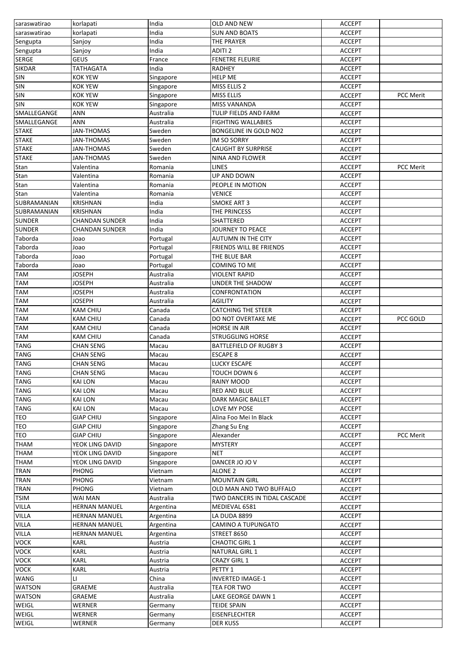| saraswatirao  | korlapati             | India     | OLD AND NEW                   | <b>ACCEPT</b> |                  |
|---------------|-----------------------|-----------|-------------------------------|---------------|------------------|
| saraswatirao  | korlapati             | India     | <b>SUN AND BOATS</b>          | <b>ACCEPT</b> |                  |
| Sengupta      | Sanjoy                | India     | THE PRAYER                    | <b>ACCEPT</b> |                  |
| Sengupta      | Sanjoy                | India     | ADITI <sub>2</sub>            | <b>ACCEPT</b> |                  |
| <b>SERGE</b>  | <b>GEUS</b>           | France    | <b>FENETRE FLEURIE</b>        | <b>ACCEPT</b> |                  |
| <b>SIKDAR</b> | TATHAGATA             | India     | <b>RADHEY</b>                 | <b>ACCEPT</b> |                  |
| SIN           | <b>KOK YEW</b>        | Singapore | <b>HELP ME</b>                | <b>ACCEPT</b> |                  |
| <b>SIN</b>    | <b>KOK YEW</b>        | Singapore | MISS ELLIS 2                  | <b>ACCEPT</b> |                  |
| SIN           | <b>KOK YEW</b>        | Singapore | MISS ELLIS                    | <b>ACCEPT</b> | <b>PCC Merit</b> |
| <b>SIN</b>    | <b>KOK YEW</b>        | Singapore | MISS VANANDA                  | <b>ACCEPT</b> |                  |
| SMALLEGANGE   | ANN                   | Australia | TULIP FIELDS AND FARM         | <b>ACCEPT</b> |                  |
| SMALLEGANGE   | ANN                   | Australia | <b>FIGHTING WALLABIES</b>     | <b>ACCEPT</b> |                  |
| <b>STAKE</b>  | <b>JAN-THOMAS</b>     | Sweden    | BONGELINE IN GOLD NO2         | <b>ACCEPT</b> |                  |
| <b>STAKE</b>  | <b>JAN-THOMAS</b>     | Sweden    | IM SO SORRY                   | <b>ACCEPT</b> |                  |
| <b>STAKE</b>  | <b>JAN-THOMAS</b>     | Sweden    | <b>CAUGHT BY SURPRISE</b>     | <b>ACCEPT</b> |                  |
| <b>STAKE</b>  | <b>JAN-THOMAS</b>     | Sweden    | NINA AND FLOWER               | <b>ACCEPT</b> |                  |
| Stan          | Valentina             | Romania   | LINES                         | <b>ACCEPT</b> | <b>PCC Merit</b> |
|               |                       |           | UP AND DOWN                   |               |                  |
| Stan          | Valentina             | Romania   | PEOPLE IN MOTION              | <b>ACCEPT</b> |                  |
| Stan          | Valentina             | Romania   |                               | <b>ACCEPT</b> |                  |
| Stan          | Valentina             | Romania   | VENICE                        | <b>ACCEPT</b> |                  |
| SUBRAMANIAN   | KRISHNAN              | India     | SMOKE ART 3                   | <b>ACCEPT</b> |                  |
| SUBRAMANIAN   | KRISHNAN              | India     | THE PRINCESS                  | <b>ACCEPT</b> |                  |
| <b>SUNDER</b> | <b>CHANDAN SUNDER</b> | India     | SHATTERED                     | <b>ACCEPT</b> |                  |
| <b>SUNDER</b> | <b>CHANDAN SUNDER</b> | India     | JOURNEY TO PEACE              | <b>ACCEPT</b> |                  |
| Taborda       | Joao                  | Portugal  | AUTUMN IN THE CITY            | <b>ACCEPT</b> |                  |
| Taborda       | Joao                  | Portugal  | FRIENDS WILL BE FRIENDS       | <b>ACCEPT</b> |                  |
| Taborda       | Joao                  | Portugal  | THE BLUE BAR                  | <b>ACCEPT</b> |                  |
| Taborda       | Joao                  | Portugal  | COMING TO ME                  | <b>ACCEPT</b> |                  |
| <b>TAM</b>    | JOSEPH                | Australia | <b>VIOLENT RAPID</b>          | <b>ACCEPT</b> |                  |
| <b>TAM</b>    | <b>JOSEPH</b>         | Australia | <b>UNDER THE SHADOW</b>       | <b>ACCEPT</b> |                  |
| <b>TAM</b>    | <b>JOSEPH</b>         | Australia | CONFRONTATION                 | <b>ACCEPT</b> |                  |
| <b>TAM</b>    | JOSEPH                | Australia | <b>AGILITY</b>                | <b>ACCEPT</b> |                  |
| <b>TAM</b>    | <b>KAM CHIU</b>       | Canada    | <b>CATCHING THE STEER</b>     | <b>ACCEPT</b> |                  |
| <b>TAM</b>    | KAM CHIU              | Canada    | DO NOT OVERTAKE ME            | <b>ACCEPT</b> | PCC GOLD         |
| <b>TAM</b>    | KAM CHIU              | Canada    | HORSE IN AIR                  | <b>ACCEPT</b> |                  |
| <b>TAM</b>    | <b>KAM CHIU</b>       | Canada    | <b>STRUGGLING HORSE</b>       | <b>ACCEPT</b> |                  |
| <b>TANG</b>   | <b>CHAN SENG</b>      | Macau     | <b>BATTLEFIELD OF RUGBY 3</b> | <b>ACCEPT</b> |                  |
| <b>TANG</b>   | <b>CHAN SENG</b>      | Macau     | <b>ESCAPE 8</b>               | <b>ACCEPT</b> |                  |
| <b>TANG</b>   | <b>CHAN SENG</b>      | Macau     | LUCKY ESCAPE                  | <b>ACCEPT</b> |                  |
| <b>TANG</b>   | <b>CHAN SENG</b>      | Macau     | TOUCH DOWN 6                  | <b>ACCEPT</b> |                  |
| <b>TANG</b>   | <b>KAI LON</b>        | Macau     | RAINY MOOD                    | <b>ACCEPT</b> |                  |
| <b>TANG</b>   | <b>KAI LON</b>        | Macau     | <b>RED AND BLUE</b>           | <b>ACCEPT</b> |                  |
| <b>TANG</b>   | <b>KAI LON</b>        | Macau     | <b>DARK MAGIC BALLET</b>      | <b>ACCEPT</b> |                  |
| <b>TANG</b>   | <b>KAI LON</b>        | Macau     | LOVE MY POSE                  | <b>ACCEPT</b> |                  |
| <b>TEO</b>    | <b>GIAP CHIU</b>      | Singapore | Alina Foo Mei In Black        | <b>ACCEPT</b> |                  |
| <b>TEO</b>    | <b>GIAP CHIU</b>      |           |                               | ACCEPT        |                  |
|               |                       | Singapore | Zhang Su Eng                  |               |                  |
| <b>TEO</b>    | <b>GIAP CHIU</b>      | Singapore | Alexander                     | <b>ACCEPT</b> | <b>PCC Merit</b> |
| <b>THAM</b>   | YEOK LING DAVID       | Singapore | <b>MYSTERY</b>                | <b>ACCEPT</b> |                  |
| THAM          | YEOK LING DAVID       | Singapore | NET                           | <b>ACCEPT</b> |                  |
| THAM          | YEOK LING DAVID       | Singapore | DANCER JO JO V                | <b>ACCEPT</b> |                  |
| <b>TRAN</b>   | <b>PHONG</b>          | Vietnam   | <b>ALONE 2</b>                | <b>ACCEPT</b> |                  |
| <b>TRAN</b>   | <b>PHONG</b>          | Vietnam   | <b>MOUNTAIN GIRL</b>          | <b>ACCEPT</b> |                  |
| <b>TRAN</b>   | <b>PHONG</b>          | Vietnam   | OLD MAN AND TWO BUFFALO       | <b>ACCEPT</b> |                  |
| <b>TSIM</b>   | WAI MAN               | Australia | TWO DANCERS IN TIDAL CASCADE  | <b>ACCEPT</b> |                  |
| <b>VILLA</b>  | <b>HERNAN MANUEL</b>  | Argentina | MEDIEVAL 6581                 | <b>ACCEPT</b> |                  |
| <b>VILLA</b>  | HERNAN MANUEL         | Argentina | LA DUDA 8899                  | <b>ACCEPT</b> |                  |
| <b>VILLA</b>  | HERNAN MANUEL         | Argentina | CAMINO A TUPUNGATO            | <b>ACCEPT</b> |                  |
| VILLA         | HERNAN MANUEL         | Argentina | STREET 8650                   | <b>ACCEPT</b> |                  |
| <b>VOCK</b>   | KARL                  | Austria   | CHAOTIC GIRL 1                | <b>ACCEPT</b> |                  |
| <b>VOCK</b>   | KARL                  | Austria   | NATURAL GIRL 1                | <b>ACCEPT</b> |                  |
| <b>VOCK</b>   | <b>KARL</b>           | Austria   | CRAZY GIRL 1                  | <b>ACCEPT</b> |                  |
| <b>VOCK</b>   | <b>KARL</b>           | Austria   | PETTY 1                       | <b>ACCEPT</b> |                  |
| WANG          | LI                    | China     | INVERTED IMAGE-1              | <b>ACCEPT</b> |                  |
| <b>WATSON</b> | <b>GRAEME</b>         | Australia | TEA FOR TWO                   | <b>ACCEPT</b> |                  |
| <b>WATSON</b> | GRAEME                | Australia | LAKE GEORGE DAWN 1            | <b>ACCEPT</b> |                  |
| WEIGL         | WERNER                | Germany   | <b>TEIDE SPAIN</b>            | <b>ACCEPT</b> |                  |
| <b>WEIGL</b>  | WERNER                | Germany   | <b>EISENFLECHTER</b>          | <b>ACCEPT</b> |                  |
| WEIGL         | WERNER                | Germany   | <b>DER KUSS</b>               | <b>ACCEPT</b> |                  |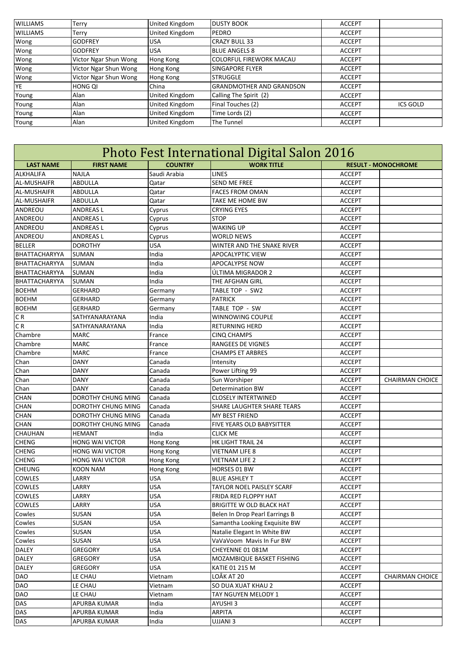| <b>WILLIAMS</b> | Terry                 | United Kingdom        | <b>DUSTY BOOK</b>               | <b>ACCEPT</b> |                 |
|-----------------|-----------------------|-----------------------|---------------------------------|---------------|-----------------|
| <b>WILLIAMS</b> | Terry                 | United Kingdom        | PEDRO                           | <b>ACCEPT</b> |                 |
| Wong            | <b>GODFREY</b>        | <b>USA</b>            | <b>CRAZY BULL 33</b>            | <b>ACCEPT</b> |                 |
| Wong            | <b>GODFREY</b>        | <b>USA</b>            | <b>BLUE ANGELS 8</b>            | <b>ACCEPT</b> |                 |
| Wong            | Victor Ngar Shun Wong | Hong Kong             | <b>COLORFUL FIREWORK MACAU</b>  | <b>ACCEPT</b> |                 |
| Wong            | Victor Ngar Shun Wong | Hong Kong             | <b>SINGAPORE FLYER</b>          | <b>ACCEPT</b> |                 |
| Wong            | Victor Ngar Shun Wong | Hong Kong             | <b>STRUGGLE</b>                 | <b>ACCEPT</b> |                 |
| <b>YE</b>       | <b>HONG OI</b>        | China                 | <b>GRANDMOTHER AND GRANDSON</b> | <b>ACCEPT</b> |                 |
| Young           | Alan                  | <b>United Kingdom</b> | Calling The Spirit (2)          | <b>ACCEPT</b> |                 |
| Young           | Alan                  | <b>United Kingdom</b> | Final Touches (2)               | <b>ACCEPT</b> | <b>ICS GOLD</b> |
| Young           | Alan                  | <b>United Kingdom</b> | Time Lords (2)                  | <b>ACCEPT</b> |                 |
| Young           | Alan                  | <b>United Kingdom</b> | The Tunnel                      | <b>ACCEPT</b> |                 |
|                 |                       |                       |                                 |               |                 |

|                    | Photo Fest International Digital Salon 2016 |                |                                |               |                            |  |  |
|--------------------|---------------------------------------------|----------------|--------------------------------|---------------|----------------------------|--|--|
| <b>LAST NAME</b>   | <b>FIRST NAME</b>                           | <b>COUNTRY</b> | <b>WORK TITLE</b>              |               | <b>RESULT - MONOCHROME</b> |  |  |
| <b>ALKHALIFA</b>   | <b>NAJLA</b>                                | Saudi Arabia   | LINES                          | <b>ACCEPT</b> |                            |  |  |
| <b>AL-MUSHAIFR</b> | <b>ABDULLA</b>                              | Qatar          | SEND ME FREE                   | <b>ACCEPT</b> |                            |  |  |
| <b>AL-MUSHAIFR</b> | <b>ABDULLA</b>                              | Qatar          | <b>FACES FROM OMAN</b>         | <b>ACCEPT</b> |                            |  |  |
| <b>AL-MUSHAIFR</b> | ABDULLA                                     | Qatar          | TAKE ME HOME BW                | <b>ACCEPT</b> |                            |  |  |
| ANDREOU            | <b>ANDREASL</b>                             | Cyprus         | <b>CRYING EYES</b>             | <b>ACCEPT</b> |                            |  |  |
| ANDREOU            | <b>ANDREASL</b>                             | Cyprus         | STOP                           | <b>ACCEPT</b> |                            |  |  |
| ANDREOU            | <b>ANDREASL</b>                             | Cyprus         | <b>WAKING UP</b>               | <b>ACCEPT</b> |                            |  |  |
| ANDREOU            | <b>ANDREASL</b>                             | Cyprus         | <b>WORLD NEWS</b>              | <b>ACCEPT</b> |                            |  |  |
| <b>BELLER</b>      | <b>DOROTHY</b>                              | USA            | WINTER AND THE SNAKE RIVER     | <b>ACCEPT</b> |                            |  |  |
| BHATTACHARYYA      | <b>SUMAN</b>                                | India          | APOCALYPTIC VIEW               | <b>ACCEPT</b> |                            |  |  |
| BHATTACHARYYA      | SUMAN                                       | India          | APOCALYPSE NOW                 | <b>ACCEPT</b> |                            |  |  |
| BHATTACHARYYA      | SUMAN                                       | India          | ÚLTIMA MIGRADOR 2              | <b>ACCEPT</b> |                            |  |  |
| BHATTACHARYYA      | <b>SUMAN</b>                                | India          | THE AFGHAN GIRL                | <b>ACCEPT</b> |                            |  |  |
| <b>BOEHM</b>       | <b>GERHARD</b>                              | Germany        | TABLE TOP - SW2                | <b>ACCEPT</b> |                            |  |  |
| <b>BOEHM</b>       | <b>GERHARD</b>                              | Germany        | <b>PATRICK</b>                 | <b>ACCEPT</b> |                            |  |  |
| <b>BOEHM</b>       | <b>GERHARD</b>                              | Germany        | TABLE TOP - SW                 | <b>ACCEPT</b> |                            |  |  |
| CR                 | SATHYANARAYANA                              | India          | WINNOWING COUPLE               | <b>ACCEPT</b> |                            |  |  |
| C <sub>R</sub>     | SATHYANARAYANA                              | India          | <b>RETURNING HERD</b>          | <b>ACCEPT</b> |                            |  |  |
| Chambre            | <b>MARC</b>                                 | France         | <b>CINQ CHAMPS</b>             | <b>ACCEPT</b> |                            |  |  |
| Chambre            | <b>MARC</b>                                 | France         | <b>RANGEES DE VIGNES</b>       | <b>ACCEPT</b> |                            |  |  |
| Chambre            | <b>MARC</b>                                 | France         | <b>CHAMPS ET ARBRES</b>        | <b>ACCEPT</b> |                            |  |  |
| Chan               | <b>DANY</b>                                 | Canada         | Intensity                      | <b>ACCEPT</b> |                            |  |  |
| Chan               | <b>DANY</b>                                 | Canada         | Power Lifting 99               | <b>ACCEPT</b> |                            |  |  |
| Chan               | DANY                                        | Canada         | Sun Worshiper                  | <b>ACCEPT</b> | <b>CHAIRMAN CHOICE</b>     |  |  |
| Chan               | <b>DANY</b>                                 | Canada         | <b>Determination BW</b>        | <b>ACCEPT</b> |                            |  |  |
| <b>CHAN</b>        | DOROTHY CHUNG MING                          | Canada         | <b>CLOSELY INTERTWINED</b>     | <b>ACCEPT</b> |                            |  |  |
| <b>CHAN</b>        | DOROTHY CHUNG MING                          | Canada         | SHARE LAUGHTER SHARE TEARS     | <b>ACCEPT</b> |                            |  |  |
| <b>CHAN</b>        | DOROTHY CHUNG MING                          | Canada         | MY BEST FRIEND                 | <b>ACCEPT</b> |                            |  |  |
| <b>CHAN</b>        | DOROTHY CHUNG MING                          | Canada         | FIVE YEARS OLD BABYSITTER      | <b>ACCEPT</b> |                            |  |  |
| <b>CHAUHAN</b>     | <b>HEMANT</b>                               | India          | <b>CLICK ME</b>                | <b>ACCEPT</b> |                            |  |  |
| <b>CHENG</b>       | <b>HONG WAI VICTOR</b>                      | Hong Kong      | HK LIGHT TRAIL 24              | <b>ACCEPT</b> |                            |  |  |
| <b>CHENG</b>       | <b>HONG WAI VICTOR</b>                      | Hong Kong      | VIETNAM LIFE 8                 | <b>ACCEPT</b> |                            |  |  |
| <b>CHENG</b>       | <b>HONG WAI VICTOR</b>                      | Hong Kong      | <b>VIETNAM LIFE 2</b>          | <b>ACCEPT</b> |                            |  |  |
| <b>CHEUNG</b>      | KOON NAM                                    | Hong Kong      | <b>HORSES 01 BW</b>            | <b>ACCEPT</b> |                            |  |  |
| <b>COWLES</b>      | LARRY                                       | USA            | <b>BLUE ASHLEY T</b>           | <b>ACCEPT</b> |                            |  |  |
| <b>COWLES</b>      | LARRY                                       | <b>USA</b>     | TAYLOR NOEL PAISLEY SCARF      | <b>ACCEPT</b> |                            |  |  |
| <b>COWLES</b>      | LARRY                                       | USA            | FRIDA RED FLOPPY HAT           | <b>ACCEPT</b> |                            |  |  |
| <b>COWLES</b>      | LARRY                                       | <b>USA</b>     | BRIGITTE W OLD BLACK HAT       | <b>ACCEPT</b> |                            |  |  |
| Cowles             | SUSAN                                       | <b>USA</b>     | Belen In Drop Pearl Earrings B | <b>ACCEPT</b> |                            |  |  |
| Cowles             | SUSAN                                       | <b>USA</b>     | Samantha Looking Exquisite BW  | <b>ACCEPT</b> |                            |  |  |
| Cowles             | SUSAN                                       | <b>USA</b>     | Natalie Elegant In White BW    | <b>ACCEPT</b> |                            |  |  |
| Cowles             | SUSAN                                       | <b>USA</b>     | VaVaVoom Mavis In Fur BW       | <b>ACCEPT</b> |                            |  |  |
| <b>DALEY</b>       | <b>GREGORY</b>                              | <b>USA</b>     | CHEYENNE 01 081M               | <b>ACCEPT</b> |                            |  |  |
| <b>DALEY</b>       | <b>GREGORY</b>                              | <b>USA</b>     | MOZAMBIQUE BASKET FISHING      | <b>ACCEPT</b> |                            |  |  |
| <b>DALEY</b>       | <b>GREGORY</b>                              | <b>USA</b>     | KATIE 01 215 M                 | <b>ACCEPT</b> |                            |  |  |
| <b>DAO</b>         | LE CHAU                                     | Vietnam        | LOÂK AT 20                     | <b>ACCEPT</b> | <b>CHAIRMAN CHOICE</b>     |  |  |
| <b>DAO</b>         | LE CHAU                                     | Vietnam        | SO DUA XUAT KHAU 2             | <b>ACCEPT</b> |                            |  |  |
| DAO                | LE CHAU                                     | Vietnam        | TAY NGUYEN MELODY 1            | <b>ACCEPT</b> |                            |  |  |
| DAS                | APURBA KUMAR                                | India          | AYUSHI 3                       | <b>ACCEPT</b> |                            |  |  |
| DAS                | APURBA KUMAR                                | India          | ARPITA                         | <b>ACCEPT</b> |                            |  |  |
| <b>DAS</b>         | APURBA KUMAR                                | India          | UJJANI 3                       | <b>ACCEPT</b> |                            |  |  |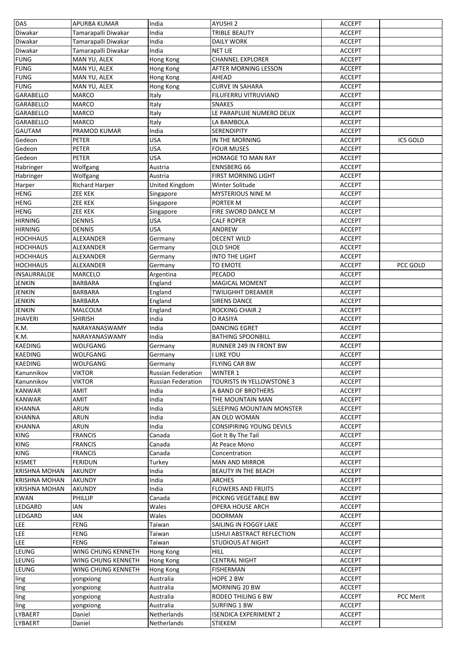| <b>DAS</b>            | APURBA KUMAR          | India                     | <b>AYUSHI 2</b>                  | <b>ACCEPT</b> |                 |
|-----------------------|-----------------------|---------------------------|----------------------------------|---------------|-----------------|
| Diwakar               | Tamarapalli Diwakar   | India                     | <b>TRIBLE BEAUTY</b>             | <b>ACCEPT</b> |                 |
| Diwakar               | Tamarapalli Diwakar   | India                     | <b>DAILY WORK</b>                | <b>ACCEPT</b> |                 |
| Diwakar               | Tamarapalli Diwakar   | India                     | <b>NET LIE</b>                   | <b>ACCEPT</b> |                 |
| <b>FUNG</b>           | MAN YU, ALEX          | Hong Kong                 | <b>CHANNEL EXPLORER</b>          | <b>ACCEPT</b> |                 |
| <b>FUNG</b>           | MAN YU, ALEX          | Hong Kong                 | AFTER MORNING LESSON             | <b>ACCEPT</b> |                 |
| <b>FUNG</b>           | MAN YU, ALEX          | Hong Kong                 | <b>AHEAD</b>                     | <b>ACCEPT</b> |                 |
| <b>FUNG</b>           | MAN YU, ALEX          | Hong Kong                 | <b>CURVE IN SAHARA</b>           | <b>ACCEPT</b> |                 |
| <b>GARABELLO</b>      | MARCO                 | Italy                     | FILUFERRU VITRUVIANO             | <b>ACCEPT</b> |                 |
| <b>GARABELLO</b>      | MARCO                 | Italy                     | <b>SNAKES</b>                    | <b>ACCEPT</b> |                 |
| GARABELLO             | <b>MARCO</b>          | Italy                     | LE PARAPLUIE NUMERO DEUX         | <b>ACCEPT</b> |                 |
| <b>GARABELLO</b>      | MARCO                 | Italy                     | LA BAMBOLA                       | <b>ACCEPT</b> |                 |
| <b>GAUTAM</b>         | PRAMOD KUMAR          | India                     | <b>SERENDIPITY</b>               | <b>ACCEPT</b> |                 |
| Gedeon                | PETER                 | <b>USA</b>                | IN THE MORNING                   | <b>ACCEPT</b> | <b>ICS GOLD</b> |
| Gedeon                | PETER                 | <b>USA</b>                | <b>FOUR MUSES</b>                | <b>ACCEPT</b> |                 |
| Gedeon                | <b>PETER</b>          | <b>USA</b>                | HOMAGE TO MAN RAY                | <b>ACCEPT</b> |                 |
| Habringer             | Wolfgang              | Austria                   | <b>ENNSBERG 66</b>               | <b>ACCEPT</b> |                 |
| Habringer             | Wolfgang              | Austria                   | <b>FIRST MORNING LIGHT</b>       | <b>ACCEPT</b> |                 |
|                       |                       | United Kingdom            | Winter Solitude                  | <b>ACCEPT</b> |                 |
| Harper                | <b>Richard Harper</b> |                           |                                  |               |                 |
| <b>HENG</b>           | <b>ZEE KEK</b>        | Singapore                 | <b>MYSTERIOUS NINE M</b>         | <b>ACCEPT</b> |                 |
| <b>HENG</b>           | <b>ZEE KEK</b>        | Singapore                 | PORTER M                         | <b>ACCEPT</b> |                 |
| <b>HENG</b>           | <b>ZEE KEK</b>        | Singapore                 | FIRE SWORD DANCE M               | <b>ACCEPT</b> |                 |
| <b>HIRNING</b>        | DENNIS                | <b>USA</b>                | <b>CALF ROPER</b>                | <b>ACCEPT</b> |                 |
| <b>HIRNING</b>        | <b>DENNIS</b>         | <b>USA</b>                | ANDREW                           | <b>ACCEPT</b> |                 |
| <b>HOCHHAUS</b>       | ALEXANDER             | Germany                   | <b>DECENT WILD</b>               | <b>ACCEPT</b> |                 |
| <b>HOCHHAUS</b>       | ALEXANDER             | Germany                   | <b>OLD SHOE</b>                  | <b>ACCEPT</b> |                 |
| <b>HOCHHAUS</b>       | ALEXANDER             | Germany                   | <b>INTO THE LIGHT</b>            | <b>ACCEPT</b> |                 |
| HOCHHAUS              | ALEXANDER             | Germany                   | <b>TO EMOTE</b>                  | <b>ACCEPT</b> | PCC GOLD        |
| INSAURRALDE           | MARCELO               | Argentina                 | <b>PECADO</b>                    | <b>ACCEPT</b> |                 |
| <b>JENKIN</b>         | BARBARA               | England                   | <b>MAGICAL MOMENT</b>            | <b>ACCEPT</b> |                 |
| <b>JENKIN</b>         | BARBARA               | England                   | <b>TWILIGHHT DREAMER</b>         | <b>ACCEPT</b> |                 |
| <b>JENKIN</b>         | BARBARA               | England                   | <b>SIRENS DANCE</b>              | <b>ACCEPT</b> |                 |
| <b>JENKIN</b>         | MALCOLM               | England                   | <b>ROCKING CHAIR 2</b>           | <b>ACCEPT</b> |                 |
| <b>JHAVERI</b>        | SHIRISH               | India                     | O RASIYA                         | <b>ACCEPT</b> |                 |
| K.M.                  | NARAYANASWAMY         | India                     | <b>DANCING EGRET</b>             | <b>ACCEPT</b> |                 |
| K.M.                  | NARAYANASWAMY         | India                     | <b>BATHING SPOONBILL</b>         | <b>ACCEPT</b> |                 |
| <b>KAEDING</b>        | WOLFGANG              | Germany                   | RUNNER 249 IN FRONT BW           | <b>ACCEPT</b> |                 |
| <b>KAEDING</b>        | WOLFGANG              | Germany                   | I LIKE YOU                       | <b>ACCEPT</b> |                 |
| <b>KAEDING</b>        | WOLFGANG              | Germany                   | <b>FLYING CAR BW</b>             | <b>ACCEPT</b> |                 |
| Kanunnikov            | <b>VIKTOR</b>         | <b>Russian Federation</b> | <b>WINTER 1</b>                  | <b>ACCEPT</b> |                 |
| Kanunnikov            | VIKTOR                | <b>Russian Federation</b> | TOURISTS IN YELLOWSTONE 3        | <b>ACCEPT</b> |                 |
| <b>KANWAR</b>         | AMIT                  | India                     | A BAND OF BROTHERS               | <b>ACCEPT</b> |                 |
| <b>KANWAR</b>         | AMIT                  | India                     | THE MOUNTAIN MAN                 | <b>ACCEPT</b> |                 |
| <b>KHANNA</b>         | ARUN                  | India                     | <b>SLEEPING MOUNTAIN MONSTER</b> | <b>ACCEPT</b> |                 |
| <b>KHANNA</b>         | ARUN                  | India                     | AN OLD WOMAN                     | <b>ACCEPT</b> |                 |
| <b>KHANNA</b>         | ARUN                  | India                     | CONSIPIRING YOUNG DEVILS         | <b>ACCEPT</b> |                 |
| <b>KING</b>           | FRANCIS               | Canada                    | Got It By The Tail               | <b>ACCEPT</b> |                 |
| <b>KING</b>           | <b>FRANCIS</b>        | Canada                    | At Peace Mono                    | <b>ACCEPT</b> |                 |
| <b>KING</b>           | <b>FRANCIS</b>        | Canada                    | Concentration                    | <b>ACCEPT</b> |                 |
| <b>KISMET</b>         | <b>FERIDUN</b>        | Turkey                    | <b>MAN AND MIRROR</b>            | <b>ACCEPT</b> |                 |
| <b>KRISHNA MOHAN</b>  | AKUNDY                | India                     | BEAUTY IN THE BEACH              | <b>ACCEPT</b> |                 |
| <b>KRISHNA MOHAN</b>  | <b>AKUNDY</b>         | India                     | <b>ARCHES</b>                    | <b>ACCEPT</b> |                 |
| <b>KRISHNA MOHAN</b>  | <b>AKUNDY</b>         | India                     | <b>FLOWERS AND FRUITS</b>        | <b>ACCEPT</b> |                 |
| <b>KWAN</b>           | PHILLIP               | Canada                    | PICKING VEGETABLE BW             | <b>ACCEPT</b> |                 |
| LEDGARD               | IAN                   | Wales                     | <b>OPERA HOUSE ARCH</b>          | <b>ACCEPT</b> |                 |
| LEDGARD               | IAN                   | Wales                     | <b>DOORMAN</b>                   | <b>ACCEPT</b> |                 |
| <b>LEE</b>            | FENG                  | Taiwan                    | SAILING IN FOGGY LAKE            | <b>ACCEPT</b> |                 |
| <b>LEE</b>            | <b>FENG</b>           | Taiwan                    | LISHUI ABSTRACT REFLECTION       | <b>ACCEPT</b> |                 |
| <b>LEE</b>            | FENG                  | Taiwan                    |                                  | <b>ACCEPT</b> |                 |
| LEUNG                 | WING CHUNG KENNETH    | Hong Kong                 | STUDIOUS AT NIGHT<br><b>HILL</b> | <b>ACCEPT</b> |                 |
|                       |                       |                           |                                  |               |                 |
| LEUNG<br><b>LEUNG</b> | WING CHUNG KENNETH    | Hong Kong                 | <b>CENTRAL NIGHT</b>             | <b>ACCEPT</b> |                 |
|                       | WING CHUNG KENNETH    | Hong Kong                 | <b>FISHERMAN</b>                 | <b>ACCEPT</b> |                 |
| ling                  | yongxiong             | Australia                 | HOPE 2 BW                        | <b>ACCEPT</b> |                 |
| ling                  | yongxiong             | Australia                 | MORNING 20 BW                    | <b>ACCEPT</b> |                 |
| ling                  | yongxiong             | Australia                 | RODEO THILING 6 BW               | <b>ACCEPT</b> | PCC Merit       |
| ling                  | yongxiong             | Australia                 | <b>SURFING 1 BW</b>              | <b>ACCEPT</b> |                 |
| <b>LYBAERT</b>        | Daniel                | Netherlands               | <b>ISENDICA EXPERIMENT 2</b>     | <b>ACCEPT</b> |                 |
| <b>LYBAERT</b>        | Daniel                | Netherlands               | STIEKEM                          | <b>ACCEPT</b> |                 |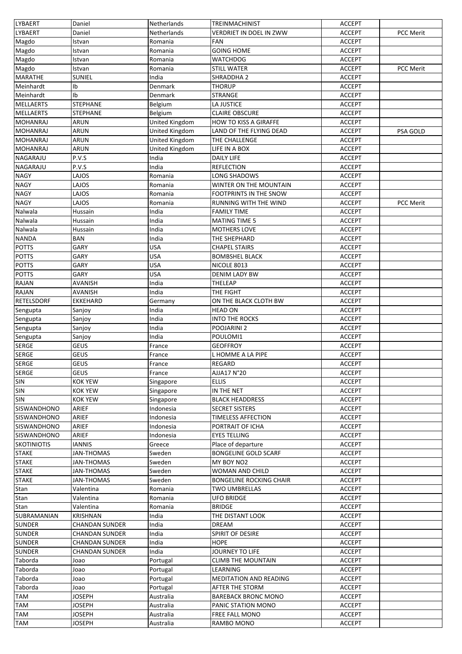| <b>LYBAERT</b>     | Daniel          | Netherlands               | <b>TREINMACHINIST</b>          | <b>ACCEPT</b> |                  |
|--------------------|-----------------|---------------------------|--------------------------------|---------------|------------------|
| <b>LYBAERT</b>     | Daniel          | Netherlands               | VERDRIET IN DOEL IN ZWW        | <b>ACCEPT</b> | <b>PCC Merit</b> |
| Magdo              | Istvan          | Romania                   | <b>FAN</b>                     | <b>ACCEPT</b> |                  |
| Magdo              | Istvan          | Romania                   | <b>GOING HOME</b>              | <b>ACCEPT</b> |                  |
| Magdo              | Istvan          | Romania                   | <b>WATCHDOG</b>                | <b>ACCEPT</b> |                  |
| Magdo              | Istvan          | Romania                   | <b>STILL WATER</b>             | <b>ACCEPT</b> | PCC Merit        |
| <b>MARATHE</b>     | SUNIEL          | India                     | SHRADDHA 2                     | <b>ACCEPT</b> |                  |
| Meinhardt          | Ib              | Denmark                   | <b>THORUP</b>                  | <b>ACCEPT</b> |                  |
| Meinhardt          | Ib              | Denmark                   | <b>STRANGE</b>                 | <b>ACCEPT</b> |                  |
| <b>MELLAERTS</b>   | STEPHANE        | Belgium                   | LA JUSTICE                     | <b>ACCEPT</b> |                  |
| <b>MELLAERTS</b>   | <b>STEPHANE</b> |                           | <b>CLAIRE OBSCURE</b>          | <b>ACCEPT</b> |                  |
| <b>MOHANRAJ</b>    | ARUN            | Belgium<br>United Kingdom | <b>HOW TO KISS A GIRAFFE</b>   | <b>ACCEPT</b> |                  |
|                    |                 |                           |                                |               |                  |
| <b>MOHANRAJ</b>    | ARUN            | United Kingdom            | LAND OF THE FLYING DEAD        | <b>ACCEPT</b> | PSA GOLD         |
| <b>MOHANRAJ</b>    | ARUN            | United Kingdom            | THE CHALLENGE                  | <b>ACCEPT</b> |                  |
| MOHANRAJ           | ARUN            | United Kingdom            | LIFE IN A BOX                  | <b>ACCEPT</b> |                  |
| NAGARAJU           | P.V.S           | India                     | <b>DAILY LIFE</b>              | <b>ACCEPT</b> |                  |
| NAGARAJU           | P.V.S           | India                     | <b>REFLECTION</b>              | <b>ACCEPT</b> |                  |
| <b>NAGY</b>        | LAJOS           | Romania                   | LONG SHADOWS                   | <b>ACCEPT</b> |                  |
| <b>NAGY</b>        | LAJOS           | Romania                   | WINTER ON THE MOUNTAIN         | <b>ACCEPT</b> |                  |
| <b>NAGY</b>        | LAJOS           | Romania                   | <b>FOOTPRINTS IN THE SNOW</b>  | <b>ACCEPT</b> |                  |
| <b>NAGY</b>        | LAJOS           | Romania                   | RUNNING WITH THE WIND          | <b>ACCEPT</b> | <b>PCC Merit</b> |
| Nalwala            | Hussain         | India                     | <b>FAMILY TIME</b>             | <b>ACCEPT</b> |                  |
| Nalwala            | Hussain         | India                     | <b>MATING TIME 5</b>           | <b>ACCEPT</b> |                  |
| Nalwala            | Hussain         | India                     | <b>MOTHERS LOVE</b>            | <b>ACCEPT</b> |                  |
| <b>NANDA</b>       | <b>BAN</b>      | India                     | THE SHEPHARD                   | <b>ACCEPT</b> |                  |
| <b>POTTS</b>       | GARY            | <b>USA</b>                | <b>CHAPEL STAIRS</b>           | <b>ACCEPT</b> |                  |
| <b>POTTS</b>       | GARY            | <b>USA</b>                | <b>BOMBSHEL BLACK</b>          | <b>ACCEPT</b> |                  |
| <b>POTTS</b>       | GARY            | <b>USA</b>                | <b>NICOLE 8013</b>             | <b>ACCEPT</b> |                  |
| <b>POTTS</b>       | GARY            | <b>USA</b>                | <b>DENIM LADY BW</b>           | <b>ACCEPT</b> |                  |
| RAJAN              | AVANISH         | India                     | <b>THELEAP</b>                 | <b>ACCEPT</b> |                  |
|                    |                 |                           | THE FIGHT                      |               |                  |
| RAJAN              | AVANISH         | India                     |                                | <b>ACCEPT</b> |                  |
| RETELSDORF         | EKKEHARD        | Germany                   | ON THE BLACK CLOTH BW          | <b>ACCEPT</b> |                  |
| Sengupta           | Sanjoy          | India                     | <b>HEAD ON</b>                 | <b>ACCEPT</b> |                  |
| Sengupta           | Sanjoy          | India                     | <b>INTO THE ROCKS</b>          | <b>ACCEPT</b> |                  |
| Sengupta           | Sanjoy          | India                     | POOJARINI 2                    | <b>ACCEPT</b> |                  |
| Sengupta           | Sanjoy          | India                     | POULOMI1                       | <b>ACCEPT</b> |                  |
| <b>SERGE</b>       | <b>GEUS</b>     | France                    | <b>GEOFFROY</b>                | <b>ACCEPT</b> |                  |
| <b>SERGE</b>       | GEUS            | France                    | L HOMME A LA PIPE              | <b>ACCEPT</b> |                  |
| <b>SERGE</b>       | <b>GEUS</b>     | France                    | <b>REGARD</b>                  | <b>ACCEPT</b> |                  |
| <b>SERGE</b>       | <b>GEUS</b>     | France                    | AJJA17 N°20                    | <b>ACCEPT</b> |                  |
| <b>SIN</b>         | KOK YEW         | Singapore                 | <b>ELLIS</b>                   | <b>ACCEPT</b> |                  |
| SIN                | <b>KOK YEW</b>  | Singapore                 | IN THE NET                     | <b>ACCEPT</b> |                  |
| SIN                | KOK YEW         | Singapore                 | <b>BLACK HEADDRESS</b>         | <b>ACCEPT</b> |                  |
| <b>SISWANDHONO</b> | ARIEF           | Indonesia                 | <b>SECRET SISTERS</b>          | <b>ACCEPT</b> |                  |
| <b>SISWANDHONO</b> | ARIEF           | Indonesia                 | TIMELESS AFFECTION             | <b>ACCEPT</b> |                  |
| <b>SISWANDHONO</b> | ARIEF           | Indonesia                 | PORTRAIT OF ICHA               | <b>ACCEPT</b> |                  |
| <b>SISWANDHONO</b> | ARIEF           | Indonesia                 | <b>EYES TELLING</b>            | <b>ACCEPT</b> |                  |
| <b>SKOTINIOTIS</b> | IANNIS          | Greece                    | Place of departure             | <b>ACCEPT</b> |                  |
| <b>STAKE</b>       | JAN-THOMAS      | Sweden                    | <b>BONGELINE GOLD SCARF</b>    | <b>ACCEPT</b> |                  |
| <b>STAKE</b>       | JAN-THOMAS      | Sweden                    | MY BOY NO2                     | <b>ACCEPT</b> |                  |
| <b>STAKE</b>       | JAN-THOMAS      | Sweden                    | WOMAN AND CHILD                | <b>ACCEPT</b> |                  |
| <b>STAKE</b>       | JAN-THOMAS      | Sweden                    | <b>BONGELINE ROCKING CHAIR</b> | <b>ACCEPT</b> |                  |
|                    | Valentina       | Romania                   | <b>TWO UMBRELLAS</b>           | <b>ACCEPT</b> |                  |
| Stan               |                 |                           |                                |               |                  |
| Stan               | Valentina       | Romania                   | <b>UFO BRIDGE</b>              | <b>ACCEPT</b> |                  |
| Stan               | Valentina       | Romania                   | <b>BRIDGE</b>                  | <b>ACCEPT</b> |                  |
| SUBRAMANIAN        | KRISHNAN        | India                     | THE DISTANT LOOK               | <b>ACCEPT</b> |                  |
| <b>SUNDER</b>      | CHANDAN SUNDER  | India                     | DREAM                          | <b>ACCEPT</b> |                  |
| <b>SUNDER</b>      | CHANDAN SUNDER  | India                     | SPIRIT OF DESIRE               | <b>ACCEPT</b> |                  |
| <b>SUNDER</b>      | CHANDAN SUNDER  | India                     | <b>HOPE</b>                    | <b>ACCEPT</b> |                  |
| <b>SUNDER</b>      | CHANDAN SUNDER  | India                     | <b>JOURNEY TO LIFE</b>         | <b>ACCEPT</b> |                  |
| Taborda            | Joao            | Portugal                  | <b>CLIMB THE MOUNTAIN</b>      | <b>ACCEPT</b> |                  |
| Taborda            | Joao            | Portugal                  | LEARNING                       | <b>ACCEPT</b> |                  |
| Taborda            | Joao            | Portugal                  | MEDITATION AND READING         | <b>ACCEPT</b> |                  |
| Taborda            | Joao            | Portugal                  | AFTER THE STORM                | <b>ACCEPT</b> |                  |
| TAM                | JOSEPH          | Australia                 | <b>BAREBACK BRONC MONO</b>     | <b>ACCEPT</b> |                  |
| TAM                | JOSEPH          | Australia                 | PANIC STATION MONO             | <b>ACCEPT</b> |                  |
| TAM                | JOSEPH          | Australia                 | FREE FALL MONO                 | <b>ACCEPT</b> |                  |
| TAM                | JOSEPH          | Australia                 | RAMBO MONO                     | <b>ACCEPT</b> |                  |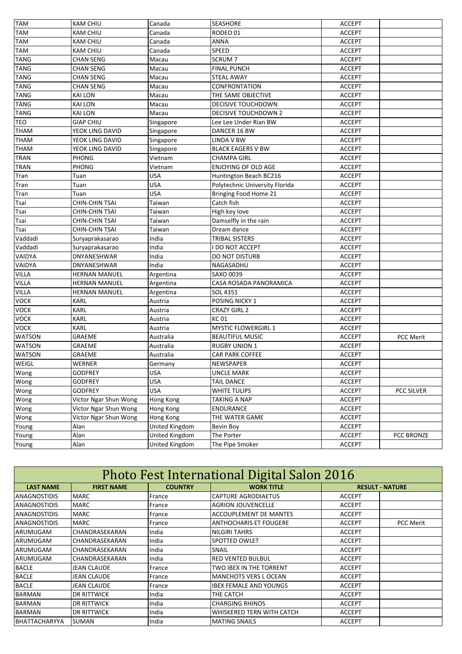| <b>TAM</b><br>RODEO 01<br><b>KAM CHIU</b><br>Canada<br><b>ACCEPT</b><br><b>ACCEPT</b><br><b>KAM CHIU</b><br>Canada<br><b>ANNA</b><br><b>TAM</b><br><b>KAM CHIU</b><br>SPEED<br><b>ACCEPT</b><br>Canada<br><b>TANG</b><br><b>CHAN SENG</b><br>SCRUM <sub>7</sub><br>Macau<br><b>ACCEPT</b><br><b>TANG</b><br><b>CHAN SENG</b><br><b>FINAL PUNCH</b><br>Macau<br><b>ACCEPT</b><br><b>CHAN SENG</b><br><b>STEAL AWAY</b><br><b>ACCEPT</b><br><b>TANG</b><br>Macau<br><b>TANG</b><br><b>CHAN SENG</b><br><b>CONFRONTATION</b><br><b>ACCEPT</b><br>Macau<br><b>TANG</b><br><b>KAI LON</b><br>Macau<br>THE SAME OBJECTIVE<br><b>ACCEPT</b><br><b>KAI LON</b><br>DECISIVE TOUCHDOWN<br><b>ACCEPT</b><br>TANG<br>Macau<br><b>TANG</b><br><b>KAI LON</b><br><b>DECISIVE TOUCHDOWN 2</b><br><b>ACCEPT</b><br>Macau<br><b>TEO</b><br><b>GIAP CHIU</b><br>Lee Lee Under Rian BW<br><b>ACCEPT</b><br>Singapore<br><b>THAM</b><br>YEOK LING DAVID<br>DANCER 16 BW<br><b>ACCEPT</b><br>Singapore<br><b>THAM</b><br><b>ACCEPT</b><br>YEOK LING DAVID<br>Singapore<br>LINDA V BW<br><b>THAM</b><br>YEOK LING DAVID<br>Singapore<br><b>BLACK EAGERS V BW</b><br><b>ACCEPT</b><br><b>PHONG</b><br>Vietnam<br><b>ACCEPT</b><br>CHAMPA GIRL<br><b>PHONG</b><br>ENJOYING OF OLD AGE<br><b>ACCEPT</b><br><b>TRAN</b><br>Vietnam<br><b>USA</b><br>Huntington Beach BC216<br><b>ACCEPT</b><br>Tuan<br>Tran<br><b>USA</b><br>Polytechnic University Florida<br><b>ACCEPT</b><br>Tuan<br>Tran<br><b>USA</b><br>Bringing Food Home 21<br><b>ACCEPT</b><br>Tuan<br>Tran<br><b>CHIN-CHIN TSAI</b><br>Catch fish<br>Taiwan<br><b>ACCEPT</b><br>Tsai<br>Tsai<br><b>CHIN-CHIN TSAI</b><br>Taiwan<br>High key love<br><b>ACCEPT</b><br>Damselfly in the rain<br><b>ACCEPT</b><br><b>CHIN-CHIN TSAI</b><br>Taiwan<br>Tsai<br>Dream dance<br>Tsai<br><b>CHIN-CHIN TSAI</b><br>Taiwan<br><b>ACCEPT</b><br>Vaddadi<br>India<br>Suryaprakasarao<br>TRIBAL SISTERS<br><b>ACCEPT</b><br>Vaddadi<br>India<br><b>ACCEPT</b><br>Suryaprakasarao<br><b>DO NOT ACCEPT</b><br>India<br>VAIDYA<br>DNYANESHWAR<br>DO NOT DISTURB<br><b>ACCEPT</b><br>India<br>VAIDYA<br>DNYANESHWAR<br>NAGASADHU<br><b>ACCEPT</b><br><b>VILLA</b><br><b>HERNAN MANUEL</b><br>SAXO 0039<br><b>ACCEPT</b><br>Argentina<br><b>VILLA</b><br><b>HERNAN MANUEL</b><br>CASA ROSADA PANORAMICA<br><b>ACCEPT</b><br>Argentina<br><b>VILLA</b><br><b>HERNAN MANUEL</b><br>SOL 4351<br><b>ACCEPT</b><br>Argentina<br><b>VOCK</b><br><b>KARL</b><br><b>ACCEPT</b><br>Austria<br>POSING NICKY 1<br><b>VOCK</b><br>KARL<br><b>CRAZY GIRL 2</b><br><b>ACCEPT</b><br>Austria<br><b>KARL</b><br><b>ACCEPT</b><br>VOCK<br>Austria<br>KC 01<br><b>KARL</b><br>VOCK<br><b>MYSTIC FLOWERGIRL 1</b><br><b>ACCEPT</b><br>Austria<br><b>WATSON</b><br>GRAEME<br><b>BEAUTIFUL MUSIC</b><br><b>ACCEPT</b><br><b>PCC Merit</b><br>Australia<br><b>WATSON</b><br>GRAEME<br><b>RUGBY UNION 1</b><br><b>ACCEPT</b><br>Australia<br><b>WATSON</b><br>GRAEME<br>Australia<br>CAR PARK COFFEE<br><b>ACCEPT</b><br>WERNER<br><b>ACCEPT</b><br>NEWSPAPER<br>Germany<br>Wong<br><b>USA</b><br><b>GODFREY</b><br><b>UNCLE MARK</b><br><b>ACCEPT</b><br>Wong<br>USA<br><b>GODFREY</b><br><b>TAIL DANCE</b><br><b>ACCEPT</b><br><b>GODFREY</b><br><b>USA</b><br>Wong<br>WHITE TULIPS<br><b>ACCEPT</b><br>PCC SILVER<br>Wong<br>Victor Ngar Shun Wong<br><b>TAKING A NAP</b><br>Hong Kong<br><b>ACCEPT</b><br>Wong<br>Victor Ngar Shun Wong<br>Hong Kong<br>ENDURANCE<br><b>ACCEPT</b><br>Wong<br>Victor Ngar Shun Wong<br>THE WATER GAME<br><b>ACCEPT</b><br>Hong Kong<br>United Kingdom<br>Bevin Boy<br><b>ACCEPT</b><br>Young<br>Alan<br>Alan<br>United Kingdom<br>The Porter<br><b>ACCEPT</b><br>PCC BRONZE<br>Young<br>Alan<br>United Kingdom<br><b>ACCEPT</b><br>Young<br>The Pipe Smoker | <b>TAM</b> | <b>KAM CHIU</b> | Canada | SEASHORE | <b>ACCEPT</b> |  |
|----------------------------------------------------------------------------------------------------------------------------------------------------------------------------------------------------------------------------------------------------------------------------------------------------------------------------------------------------------------------------------------------------------------------------------------------------------------------------------------------------------------------------------------------------------------------------------------------------------------------------------------------------------------------------------------------------------------------------------------------------------------------------------------------------------------------------------------------------------------------------------------------------------------------------------------------------------------------------------------------------------------------------------------------------------------------------------------------------------------------------------------------------------------------------------------------------------------------------------------------------------------------------------------------------------------------------------------------------------------------------------------------------------------------------------------------------------------------------------------------------------------------------------------------------------------------------------------------------------------------------------------------------------------------------------------------------------------------------------------------------------------------------------------------------------------------------------------------------------------------------------------------------------------------------------------------------------------------------------------------------------------------------------------------------------------------------------------------------------------------------------------------------------------------------------------------------------------------------------------------------------------------------------------------------------------------------------------------------------------------------------------------------------------------------------------------------------------------------------------------------------------------------------------------------------------------------------------------------------------------------------------------------------------------------------------------------------------------------------------------------------------------------------------------------------------------------------------------------------------------------------------------------------------------------------------------------------------------------------------------------------------------------------------------------------------------------------------------------------------------------------------------------------------------------------------------------------------------------------------------------------------------------------------------------------------------------------------------------------------------------------------------------------------------------------------------------------------------------------------------------------------------------------------------------------------------------------------------------------------------------------------------------------------------------------------------------------------------------------------------------------------------------------------|------------|-----------------|--------|----------|---------------|--|
| <b>TAM</b><br><b>TRAN</b><br>WEIGL                                                                                                                                                                                                                                                                                                                                                                                                                                                                                                                                                                                                                                                                                                                                                                                                                                                                                                                                                                                                                                                                                                                                                                                                                                                                                                                                                                                                                                                                                                                                                                                                                                                                                                                                                                                                                                                                                                                                                                                                                                                                                                                                                                                                                                                                                                                                                                                                                                                                                                                                                                                                                                                                                                                                                                                                                                                                                                                                                                                                                                                                                                                                                                                                                                                                                                                                                                                                                                                                                                                                                                                                                                                                                                                                                     |            |                 |        |          |               |  |
|                                                                                                                                                                                                                                                                                                                                                                                                                                                                                                                                                                                                                                                                                                                                                                                                                                                                                                                                                                                                                                                                                                                                                                                                                                                                                                                                                                                                                                                                                                                                                                                                                                                                                                                                                                                                                                                                                                                                                                                                                                                                                                                                                                                                                                                                                                                                                                                                                                                                                                                                                                                                                                                                                                                                                                                                                                                                                                                                                                                                                                                                                                                                                                                                                                                                                                                                                                                                                                                                                                                                                                                                                                                                                                                                                                                        |            |                 |        |          |               |  |
|                                                                                                                                                                                                                                                                                                                                                                                                                                                                                                                                                                                                                                                                                                                                                                                                                                                                                                                                                                                                                                                                                                                                                                                                                                                                                                                                                                                                                                                                                                                                                                                                                                                                                                                                                                                                                                                                                                                                                                                                                                                                                                                                                                                                                                                                                                                                                                                                                                                                                                                                                                                                                                                                                                                                                                                                                                                                                                                                                                                                                                                                                                                                                                                                                                                                                                                                                                                                                                                                                                                                                                                                                                                                                                                                                                                        |            |                 |        |          |               |  |
|                                                                                                                                                                                                                                                                                                                                                                                                                                                                                                                                                                                                                                                                                                                                                                                                                                                                                                                                                                                                                                                                                                                                                                                                                                                                                                                                                                                                                                                                                                                                                                                                                                                                                                                                                                                                                                                                                                                                                                                                                                                                                                                                                                                                                                                                                                                                                                                                                                                                                                                                                                                                                                                                                                                                                                                                                                                                                                                                                                                                                                                                                                                                                                                                                                                                                                                                                                                                                                                                                                                                                                                                                                                                                                                                                                                        |            |                 |        |          |               |  |
|                                                                                                                                                                                                                                                                                                                                                                                                                                                                                                                                                                                                                                                                                                                                                                                                                                                                                                                                                                                                                                                                                                                                                                                                                                                                                                                                                                                                                                                                                                                                                                                                                                                                                                                                                                                                                                                                                                                                                                                                                                                                                                                                                                                                                                                                                                                                                                                                                                                                                                                                                                                                                                                                                                                                                                                                                                                                                                                                                                                                                                                                                                                                                                                                                                                                                                                                                                                                                                                                                                                                                                                                                                                                                                                                                                                        |            |                 |        |          |               |  |
|                                                                                                                                                                                                                                                                                                                                                                                                                                                                                                                                                                                                                                                                                                                                                                                                                                                                                                                                                                                                                                                                                                                                                                                                                                                                                                                                                                                                                                                                                                                                                                                                                                                                                                                                                                                                                                                                                                                                                                                                                                                                                                                                                                                                                                                                                                                                                                                                                                                                                                                                                                                                                                                                                                                                                                                                                                                                                                                                                                                                                                                                                                                                                                                                                                                                                                                                                                                                                                                                                                                                                                                                                                                                                                                                                                                        |            |                 |        |          |               |  |
|                                                                                                                                                                                                                                                                                                                                                                                                                                                                                                                                                                                                                                                                                                                                                                                                                                                                                                                                                                                                                                                                                                                                                                                                                                                                                                                                                                                                                                                                                                                                                                                                                                                                                                                                                                                                                                                                                                                                                                                                                                                                                                                                                                                                                                                                                                                                                                                                                                                                                                                                                                                                                                                                                                                                                                                                                                                                                                                                                                                                                                                                                                                                                                                                                                                                                                                                                                                                                                                                                                                                                                                                                                                                                                                                                                                        |            |                 |        |          |               |  |
|                                                                                                                                                                                                                                                                                                                                                                                                                                                                                                                                                                                                                                                                                                                                                                                                                                                                                                                                                                                                                                                                                                                                                                                                                                                                                                                                                                                                                                                                                                                                                                                                                                                                                                                                                                                                                                                                                                                                                                                                                                                                                                                                                                                                                                                                                                                                                                                                                                                                                                                                                                                                                                                                                                                                                                                                                                                                                                                                                                                                                                                                                                                                                                                                                                                                                                                                                                                                                                                                                                                                                                                                                                                                                                                                                                                        |            |                 |        |          |               |  |
|                                                                                                                                                                                                                                                                                                                                                                                                                                                                                                                                                                                                                                                                                                                                                                                                                                                                                                                                                                                                                                                                                                                                                                                                                                                                                                                                                                                                                                                                                                                                                                                                                                                                                                                                                                                                                                                                                                                                                                                                                                                                                                                                                                                                                                                                                                                                                                                                                                                                                                                                                                                                                                                                                                                                                                                                                                                                                                                                                                                                                                                                                                                                                                                                                                                                                                                                                                                                                                                                                                                                                                                                                                                                                                                                                                                        |            |                 |        |          |               |  |
|                                                                                                                                                                                                                                                                                                                                                                                                                                                                                                                                                                                                                                                                                                                                                                                                                                                                                                                                                                                                                                                                                                                                                                                                                                                                                                                                                                                                                                                                                                                                                                                                                                                                                                                                                                                                                                                                                                                                                                                                                                                                                                                                                                                                                                                                                                                                                                                                                                                                                                                                                                                                                                                                                                                                                                                                                                                                                                                                                                                                                                                                                                                                                                                                                                                                                                                                                                                                                                                                                                                                                                                                                                                                                                                                                                                        |            |                 |        |          |               |  |
|                                                                                                                                                                                                                                                                                                                                                                                                                                                                                                                                                                                                                                                                                                                                                                                                                                                                                                                                                                                                                                                                                                                                                                                                                                                                                                                                                                                                                                                                                                                                                                                                                                                                                                                                                                                                                                                                                                                                                                                                                                                                                                                                                                                                                                                                                                                                                                                                                                                                                                                                                                                                                                                                                                                                                                                                                                                                                                                                                                                                                                                                                                                                                                                                                                                                                                                                                                                                                                                                                                                                                                                                                                                                                                                                                                                        |            |                 |        |          |               |  |
|                                                                                                                                                                                                                                                                                                                                                                                                                                                                                                                                                                                                                                                                                                                                                                                                                                                                                                                                                                                                                                                                                                                                                                                                                                                                                                                                                                                                                                                                                                                                                                                                                                                                                                                                                                                                                                                                                                                                                                                                                                                                                                                                                                                                                                                                                                                                                                                                                                                                                                                                                                                                                                                                                                                                                                                                                                                                                                                                                                                                                                                                                                                                                                                                                                                                                                                                                                                                                                                                                                                                                                                                                                                                                                                                                                                        |            |                 |        |          |               |  |
|                                                                                                                                                                                                                                                                                                                                                                                                                                                                                                                                                                                                                                                                                                                                                                                                                                                                                                                                                                                                                                                                                                                                                                                                                                                                                                                                                                                                                                                                                                                                                                                                                                                                                                                                                                                                                                                                                                                                                                                                                                                                                                                                                                                                                                                                                                                                                                                                                                                                                                                                                                                                                                                                                                                                                                                                                                                                                                                                                                                                                                                                                                                                                                                                                                                                                                                                                                                                                                                                                                                                                                                                                                                                                                                                                                                        |            |                 |        |          |               |  |
|                                                                                                                                                                                                                                                                                                                                                                                                                                                                                                                                                                                                                                                                                                                                                                                                                                                                                                                                                                                                                                                                                                                                                                                                                                                                                                                                                                                                                                                                                                                                                                                                                                                                                                                                                                                                                                                                                                                                                                                                                                                                                                                                                                                                                                                                                                                                                                                                                                                                                                                                                                                                                                                                                                                                                                                                                                                                                                                                                                                                                                                                                                                                                                                                                                                                                                                                                                                                                                                                                                                                                                                                                                                                                                                                                                                        |            |                 |        |          |               |  |
|                                                                                                                                                                                                                                                                                                                                                                                                                                                                                                                                                                                                                                                                                                                                                                                                                                                                                                                                                                                                                                                                                                                                                                                                                                                                                                                                                                                                                                                                                                                                                                                                                                                                                                                                                                                                                                                                                                                                                                                                                                                                                                                                                                                                                                                                                                                                                                                                                                                                                                                                                                                                                                                                                                                                                                                                                                                                                                                                                                                                                                                                                                                                                                                                                                                                                                                                                                                                                                                                                                                                                                                                                                                                                                                                                                                        |            |                 |        |          |               |  |
|                                                                                                                                                                                                                                                                                                                                                                                                                                                                                                                                                                                                                                                                                                                                                                                                                                                                                                                                                                                                                                                                                                                                                                                                                                                                                                                                                                                                                                                                                                                                                                                                                                                                                                                                                                                                                                                                                                                                                                                                                                                                                                                                                                                                                                                                                                                                                                                                                                                                                                                                                                                                                                                                                                                                                                                                                                                                                                                                                                                                                                                                                                                                                                                                                                                                                                                                                                                                                                                                                                                                                                                                                                                                                                                                                                                        |            |                 |        |          |               |  |
|                                                                                                                                                                                                                                                                                                                                                                                                                                                                                                                                                                                                                                                                                                                                                                                                                                                                                                                                                                                                                                                                                                                                                                                                                                                                                                                                                                                                                                                                                                                                                                                                                                                                                                                                                                                                                                                                                                                                                                                                                                                                                                                                                                                                                                                                                                                                                                                                                                                                                                                                                                                                                                                                                                                                                                                                                                                                                                                                                                                                                                                                                                                                                                                                                                                                                                                                                                                                                                                                                                                                                                                                                                                                                                                                                                                        |            |                 |        |          |               |  |
|                                                                                                                                                                                                                                                                                                                                                                                                                                                                                                                                                                                                                                                                                                                                                                                                                                                                                                                                                                                                                                                                                                                                                                                                                                                                                                                                                                                                                                                                                                                                                                                                                                                                                                                                                                                                                                                                                                                                                                                                                                                                                                                                                                                                                                                                                                                                                                                                                                                                                                                                                                                                                                                                                                                                                                                                                                                                                                                                                                                                                                                                                                                                                                                                                                                                                                                                                                                                                                                                                                                                                                                                                                                                                                                                                                                        |            |                 |        |          |               |  |
|                                                                                                                                                                                                                                                                                                                                                                                                                                                                                                                                                                                                                                                                                                                                                                                                                                                                                                                                                                                                                                                                                                                                                                                                                                                                                                                                                                                                                                                                                                                                                                                                                                                                                                                                                                                                                                                                                                                                                                                                                                                                                                                                                                                                                                                                                                                                                                                                                                                                                                                                                                                                                                                                                                                                                                                                                                                                                                                                                                                                                                                                                                                                                                                                                                                                                                                                                                                                                                                                                                                                                                                                                                                                                                                                                                                        |            |                 |        |          |               |  |
|                                                                                                                                                                                                                                                                                                                                                                                                                                                                                                                                                                                                                                                                                                                                                                                                                                                                                                                                                                                                                                                                                                                                                                                                                                                                                                                                                                                                                                                                                                                                                                                                                                                                                                                                                                                                                                                                                                                                                                                                                                                                                                                                                                                                                                                                                                                                                                                                                                                                                                                                                                                                                                                                                                                                                                                                                                                                                                                                                                                                                                                                                                                                                                                                                                                                                                                                                                                                                                                                                                                                                                                                                                                                                                                                                                                        |            |                 |        |          |               |  |
|                                                                                                                                                                                                                                                                                                                                                                                                                                                                                                                                                                                                                                                                                                                                                                                                                                                                                                                                                                                                                                                                                                                                                                                                                                                                                                                                                                                                                                                                                                                                                                                                                                                                                                                                                                                                                                                                                                                                                                                                                                                                                                                                                                                                                                                                                                                                                                                                                                                                                                                                                                                                                                                                                                                                                                                                                                                                                                                                                                                                                                                                                                                                                                                                                                                                                                                                                                                                                                                                                                                                                                                                                                                                                                                                                                                        |            |                 |        |          |               |  |
|                                                                                                                                                                                                                                                                                                                                                                                                                                                                                                                                                                                                                                                                                                                                                                                                                                                                                                                                                                                                                                                                                                                                                                                                                                                                                                                                                                                                                                                                                                                                                                                                                                                                                                                                                                                                                                                                                                                                                                                                                                                                                                                                                                                                                                                                                                                                                                                                                                                                                                                                                                                                                                                                                                                                                                                                                                                                                                                                                                                                                                                                                                                                                                                                                                                                                                                                                                                                                                                                                                                                                                                                                                                                                                                                                                                        |            |                 |        |          |               |  |
|                                                                                                                                                                                                                                                                                                                                                                                                                                                                                                                                                                                                                                                                                                                                                                                                                                                                                                                                                                                                                                                                                                                                                                                                                                                                                                                                                                                                                                                                                                                                                                                                                                                                                                                                                                                                                                                                                                                                                                                                                                                                                                                                                                                                                                                                                                                                                                                                                                                                                                                                                                                                                                                                                                                                                                                                                                                                                                                                                                                                                                                                                                                                                                                                                                                                                                                                                                                                                                                                                                                                                                                                                                                                                                                                                                                        |            |                 |        |          |               |  |
|                                                                                                                                                                                                                                                                                                                                                                                                                                                                                                                                                                                                                                                                                                                                                                                                                                                                                                                                                                                                                                                                                                                                                                                                                                                                                                                                                                                                                                                                                                                                                                                                                                                                                                                                                                                                                                                                                                                                                                                                                                                                                                                                                                                                                                                                                                                                                                                                                                                                                                                                                                                                                                                                                                                                                                                                                                                                                                                                                                                                                                                                                                                                                                                                                                                                                                                                                                                                                                                                                                                                                                                                                                                                                                                                                                                        |            |                 |        |          |               |  |
|                                                                                                                                                                                                                                                                                                                                                                                                                                                                                                                                                                                                                                                                                                                                                                                                                                                                                                                                                                                                                                                                                                                                                                                                                                                                                                                                                                                                                                                                                                                                                                                                                                                                                                                                                                                                                                                                                                                                                                                                                                                                                                                                                                                                                                                                                                                                                                                                                                                                                                                                                                                                                                                                                                                                                                                                                                                                                                                                                                                                                                                                                                                                                                                                                                                                                                                                                                                                                                                                                                                                                                                                                                                                                                                                                                                        |            |                 |        |          |               |  |
|                                                                                                                                                                                                                                                                                                                                                                                                                                                                                                                                                                                                                                                                                                                                                                                                                                                                                                                                                                                                                                                                                                                                                                                                                                                                                                                                                                                                                                                                                                                                                                                                                                                                                                                                                                                                                                                                                                                                                                                                                                                                                                                                                                                                                                                                                                                                                                                                                                                                                                                                                                                                                                                                                                                                                                                                                                                                                                                                                                                                                                                                                                                                                                                                                                                                                                                                                                                                                                                                                                                                                                                                                                                                                                                                                                                        |            |                 |        |          |               |  |
|                                                                                                                                                                                                                                                                                                                                                                                                                                                                                                                                                                                                                                                                                                                                                                                                                                                                                                                                                                                                                                                                                                                                                                                                                                                                                                                                                                                                                                                                                                                                                                                                                                                                                                                                                                                                                                                                                                                                                                                                                                                                                                                                                                                                                                                                                                                                                                                                                                                                                                                                                                                                                                                                                                                                                                                                                                                                                                                                                                                                                                                                                                                                                                                                                                                                                                                                                                                                                                                                                                                                                                                                                                                                                                                                                                                        |            |                 |        |          |               |  |
|                                                                                                                                                                                                                                                                                                                                                                                                                                                                                                                                                                                                                                                                                                                                                                                                                                                                                                                                                                                                                                                                                                                                                                                                                                                                                                                                                                                                                                                                                                                                                                                                                                                                                                                                                                                                                                                                                                                                                                                                                                                                                                                                                                                                                                                                                                                                                                                                                                                                                                                                                                                                                                                                                                                                                                                                                                                                                                                                                                                                                                                                                                                                                                                                                                                                                                                                                                                                                                                                                                                                                                                                                                                                                                                                                                                        |            |                 |        |          |               |  |
|                                                                                                                                                                                                                                                                                                                                                                                                                                                                                                                                                                                                                                                                                                                                                                                                                                                                                                                                                                                                                                                                                                                                                                                                                                                                                                                                                                                                                                                                                                                                                                                                                                                                                                                                                                                                                                                                                                                                                                                                                                                                                                                                                                                                                                                                                                                                                                                                                                                                                                                                                                                                                                                                                                                                                                                                                                                                                                                                                                                                                                                                                                                                                                                                                                                                                                                                                                                                                                                                                                                                                                                                                                                                                                                                                                                        |            |                 |        |          |               |  |
|                                                                                                                                                                                                                                                                                                                                                                                                                                                                                                                                                                                                                                                                                                                                                                                                                                                                                                                                                                                                                                                                                                                                                                                                                                                                                                                                                                                                                                                                                                                                                                                                                                                                                                                                                                                                                                                                                                                                                                                                                                                                                                                                                                                                                                                                                                                                                                                                                                                                                                                                                                                                                                                                                                                                                                                                                                                                                                                                                                                                                                                                                                                                                                                                                                                                                                                                                                                                                                                                                                                                                                                                                                                                                                                                                                                        |            |                 |        |          |               |  |
|                                                                                                                                                                                                                                                                                                                                                                                                                                                                                                                                                                                                                                                                                                                                                                                                                                                                                                                                                                                                                                                                                                                                                                                                                                                                                                                                                                                                                                                                                                                                                                                                                                                                                                                                                                                                                                                                                                                                                                                                                                                                                                                                                                                                                                                                                                                                                                                                                                                                                                                                                                                                                                                                                                                                                                                                                                                                                                                                                                                                                                                                                                                                                                                                                                                                                                                                                                                                                                                                                                                                                                                                                                                                                                                                                                                        |            |                 |        |          |               |  |
|                                                                                                                                                                                                                                                                                                                                                                                                                                                                                                                                                                                                                                                                                                                                                                                                                                                                                                                                                                                                                                                                                                                                                                                                                                                                                                                                                                                                                                                                                                                                                                                                                                                                                                                                                                                                                                                                                                                                                                                                                                                                                                                                                                                                                                                                                                                                                                                                                                                                                                                                                                                                                                                                                                                                                                                                                                                                                                                                                                                                                                                                                                                                                                                                                                                                                                                                                                                                                                                                                                                                                                                                                                                                                                                                                                                        |            |                 |        |          |               |  |
|                                                                                                                                                                                                                                                                                                                                                                                                                                                                                                                                                                                                                                                                                                                                                                                                                                                                                                                                                                                                                                                                                                                                                                                                                                                                                                                                                                                                                                                                                                                                                                                                                                                                                                                                                                                                                                                                                                                                                                                                                                                                                                                                                                                                                                                                                                                                                                                                                                                                                                                                                                                                                                                                                                                                                                                                                                                                                                                                                                                                                                                                                                                                                                                                                                                                                                                                                                                                                                                                                                                                                                                                                                                                                                                                                                                        |            |                 |        |          |               |  |
|                                                                                                                                                                                                                                                                                                                                                                                                                                                                                                                                                                                                                                                                                                                                                                                                                                                                                                                                                                                                                                                                                                                                                                                                                                                                                                                                                                                                                                                                                                                                                                                                                                                                                                                                                                                                                                                                                                                                                                                                                                                                                                                                                                                                                                                                                                                                                                                                                                                                                                                                                                                                                                                                                                                                                                                                                                                                                                                                                                                                                                                                                                                                                                                                                                                                                                                                                                                                                                                                                                                                                                                                                                                                                                                                                                                        |            |                 |        |          |               |  |
|                                                                                                                                                                                                                                                                                                                                                                                                                                                                                                                                                                                                                                                                                                                                                                                                                                                                                                                                                                                                                                                                                                                                                                                                                                                                                                                                                                                                                                                                                                                                                                                                                                                                                                                                                                                                                                                                                                                                                                                                                                                                                                                                                                                                                                                                                                                                                                                                                                                                                                                                                                                                                                                                                                                                                                                                                                                                                                                                                                                                                                                                                                                                                                                                                                                                                                                                                                                                                                                                                                                                                                                                                                                                                                                                                                                        |            |                 |        |          |               |  |
|                                                                                                                                                                                                                                                                                                                                                                                                                                                                                                                                                                                                                                                                                                                                                                                                                                                                                                                                                                                                                                                                                                                                                                                                                                                                                                                                                                                                                                                                                                                                                                                                                                                                                                                                                                                                                                                                                                                                                                                                                                                                                                                                                                                                                                                                                                                                                                                                                                                                                                                                                                                                                                                                                                                                                                                                                                                                                                                                                                                                                                                                                                                                                                                                                                                                                                                                                                                                                                                                                                                                                                                                                                                                                                                                                                                        |            |                 |        |          |               |  |
|                                                                                                                                                                                                                                                                                                                                                                                                                                                                                                                                                                                                                                                                                                                                                                                                                                                                                                                                                                                                                                                                                                                                                                                                                                                                                                                                                                                                                                                                                                                                                                                                                                                                                                                                                                                                                                                                                                                                                                                                                                                                                                                                                                                                                                                                                                                                                                                                                                                                                                                                                                                                                                                                                                                                                                                                                                                                                                                                                                                                                                                                                                                                                                                                                                                                                                                                                                                                                                                                                                                                                                                                                                                                                                                                                                                        |            |                 |        |          |               |  |
|                                                                                                                                                                                                                                                                                                                                                                                                                                                                                                                                                                                                                                                                                                                                                                                                                                                                                                                                                                                                                                                                                                                                                                                                                                                                                                                                                                                                                                                                                                                                                                                                                                                                                                                                                                                                                                                                                                                                                                                                                                                                                                                                                                                                                                                                                                                                                                                                                                                                                                                                                                                                                                                                                                                                                                                                                                                                                                                                                                                                                                                                                                                                                                                                                                                                                                                                                                                                                                                                                                                                                                                                                                                                                                                                                                                        |            |                 |        |          |               |  |
|                                                                                                                                                                                                                                                                                                                                                                                                                                                                                                                                                                                                                                                                                                                                                                                                                                                                                                                                                                                                                                                                                                                                                                                                                                                                                                                                                                                                                                                                                                                                                                                                                                                                                                                                                                                                                                                                                                                                                                                                                                                                                                                                                                                                                                                                                                                                                                                                                                                                                                                                                                                                                                                                                                                                                                                                                                                                                                                                                                                                                                                                                                                                                                                                                                                                                                                                                                                                                                                                                                                                                                                                                                                                                                                                                                                        |            |                 |        |          |               |  |
|                                                                                                                                                                                                                                                                                                                                                                                                                                                                                                                                                                                                                                                                                                                                                                                                                                                                                                                                                                                                                                                                                                                                                                                                                                                                                                                                                                                                                                                                                                                                                                                                                                                                                                                                                                                                                                                                                                                                                                                                                                                                                                                                                                                                                                                                                                                                                                                                                                                                                                                                                                                                                                                                                                                                                                                                                                                                                                                                                                                                                                                                                                                                                                                                                                                                                                                                                                                                                                                                                                                                                                                                                                                                                                                                                                                        |            |                 |        |          |               |  |
|                                                                                                                                                                                                                                                                                                                                                                                                                                                                                                                                                                                                                                                                                                                                                                                                                                                                                                                                                                                                                                                                                                                                                                                                                                                                                                                                                                                                                                                                                                                                                                                                                                                                                                                                                                                                                                                                                                                                                                                                                                                                                                                                                                                                                                                                                                                                                                                                                                                                                                                                                                                                                                                                                                                                                                                                                                                                                                                                                                                                                                                                                                                                                                                                                                                                                                                                                                                                                                                                                                                                                                                                                                                                                                                                                                                        |            |                 |        |          |               |  |
|                                                                                                                                                                                                                                                                                                                                                                                                                                                                                                                                                                                                                                                                                                                                                                                                                                                                                                                                                                                                                                                                                                                                                                                                                                                                                                                                                                                                                                                                                                                                                                                                                                                                                                                                                                                                                                                                                                                                                                                                                                                                                                                                                                                                                                                                                                                                                                                                                                                                                                                                                                                                                                                                                                                                                                                                                                                                                                                                                                                                                                                                                                                                                                                                                                                                                                                                                                                                                                                                                                                                                                                                                                                                                                                                                                                        |            |                 |        |          |               |  |
|                                                                                                                                                                                                                                                                                                                                                                                                                                                                                                                                                                                                                                                                                                                                                                                                                                                                                                                                                                                                                                                                                                                                                                                                                                                                                                                                                                                                                                                                                                                                                                                                                                                                                                                                                                                                                                                                                                                                                                                                                                                                                                                                                                                                                                                                                                                                                                                                                                                                                                                                                                                                                                                                                                                                                                                                                                                                                                                                                                                                                                                                                                                                                                                                                                                                                                                                                                                                                                                                                                                                                                                                                                                                                                                                                                                        |            |                 |        |          |               |  |
|                                                                                                                                                                                                                                                                                                                                                                                                                                                                                                                                                                                                                                                                                                                                                                                                                                                                                                                                                                                                                                                                                                                                                                                                                                                                                                                                                                                                                                                                                                                                                                                                                                                                                                                                                                                                                                                                                                                                                                                                                                                                                                                                                                                                                                                                                                                                                                                                                                                                                                                                                                                                                                                                                                                                                                                                                                                                                                                                                                                                                                                                                                                                                                                                                                                                                                                                                                                                                                                                                                                                                                                                                                                                                                                                                                                        |            |                 |        |          |               |  |
|                                                                                                                                                                                                                                                                                                                                                                                                                                                                                                                                                                                                                                                                                                                                                                                                                                                                                                                                                                                                                                                                                                                                                                                                                                                                                                                                                                                                                                                                                                                                                                                                                                                                                                                                                                                                                                                                                                                                                                                                                                                                                                                                                                                                                                                                                                                                                                                                                                                                                                                                                                                                                                                                                                                                                                                                                                                                                                                                                                                                                                                                                                                                                                                                                                                                                                                                                                                                                                                                                                                                                                                                                                                                                                                                                                                        |            |                 |        |          |               |  |
|                                                                                                                                                                                                                                                                                                                                                                                                                                                                                                                                                                                                                                                                                                                                                                                                                                                                                                                                                                                                                                                                                                                                                                                                                                                                                                                                                                                                                                                                                                                                                                                                                                                                                                                                                                                                                                                                                                                                                                                                                                                                                                                                                                                                                                                                                                                                                                                                                                                                                                                                                                                                                                                                                                                                                                                                                                                                                                                                                                                                                                                                                                                                                                                                                                                                                                                                                                                                                                                                                                                                                                                                                                                                                                                                                                                        |            |                 |        |          |               |  |
|                                                                                                                                                                                                                                                                                                                                                                                                                                                                                                                                                                                                                                                                                                                                                                                                                                                                                                                                                                                                                                                                                                                                                                                                                                                                                                                                                                                                                                                                                                                                                                                                                                                                                                                                                                                                                                                                                                                                                                                                                                                                                                                                                                                                                                                                                                                                                                                                                                                                                                                                                                                                                                                                                                                                                                                                                                                                                                                                                                                                                                                                                                                                                                                                                                                                                                                                                                                                                                                                                                                                                                                                                                                                                                                                                                                        |            |                 |        |          |               |  |

| Photo Fest International Digital Salon 2016 |                       |                |                               |                        |                  |  |  |  |
|---------------------------------------------|-----------------------|----------------|-------------------------------|------------------------|------------------|--|--|--|
| <b>LAST NAME</b>                            | <b>FIRST NAME</b>     | <b>COUNTRY</b> | <b>WORK TITLE</b>             | <b>RESULT - NATURE</b> |                  |  |  |  |
| <b>ANAGNOSTIDIS</b>                         | <b>MARC</b>           | <b>France</b>  | <b>CAPTURE AGRODIAETUS</b>    | <b>ACCEPT</b>          |                  |  |  |  |
| <b>ANAGNOSTIDIS</b>                         | <b>MARC</b>           | France         | <b>AGRION JOUVENCELLE</b>     | <b>ACCEPT</b>          |                  |  |  |  |
| <b>ANAGNOSTIDIS</b>                         | <b>MARC</b>           | France         | <b>ACCOUPLEMENT DE MANTES</b> | <b>ACCEPT</b>          |                  |  |  |  |
| <b>ANAGNOSTIDIS</b>                         | <b>MARC</b>           | France         | <b>ANTHOCHARIS ET FOUGERE</b> | <b>ACCEPT</b>          | <b>PCC Merit</b> |  |  |  |
| ARUMUGAM                                    | CHANDRASEKARAN        | India          | <b>NILGIRI TAHRS</b>          | <b>ACCEPT</b>          |                  |  |  |  |
| ARUMUGAM                                    | <b>CHANDRASEKARAN</b> | India          | <b>SPOTTED OWLET</b>          | <b>ACCEPT</b>          |                  |  |  |  |
| ARUMUGAM                                    | CHANDRASEKARAN        | India          | <b>SNAIL</b>                  | <b>ACCEPT</b>          |                  |  |  |  |
| ARUMUGAM                                    | CHANDRASEKARAN        | India          | <b>RED VENTED BULBUL</b>      | <b>ACCEPT</b>          |                  |  |  |  |
| <b>BACLE</b>                                | <b>JEAN CLAUDE</b>    | France         | TWO IBEX IN THE TORRENT       | <b>ACCEPT</b>          |                  |  |  |  |
| <b>BACLE</b>                                | <b>JEAN CLAUDE</b>    | France         | <b>MANCHOTS VERS L OCEAN</b>  | <b>ACCEPT</b>          |                  |  |  |  |
| <b>BACLE</b>                                | <b>JEAN CLAUDE</b>    | France         | <b>IBEX FEMALE AND YOUNGS</b> | <b>ACCEPT</b>          |                  |  |  |  |
| <b>BARMAN</b>                               | <b>DR RITTWICK</b>    | India          | THE CATCH                     | <b>ACCEPT</b>          |                  |  |  |  |
| <b>BARMAN</b>                               | <b>DR RITTWICK</b>    | India          | <b>CHARGING RHINOS</b>        | <b>ACCEPT</b>          |                  |  |  |  |
| <b>BARMAN</b>                               | <b>DR RITTWICK</b>    | India          | WHISKERED TERN WITH CATCH     | <b>ACCEPT</b>          |                  |  |  |  |
| <b>IBHATTACHARYYA</b>                       | <b>SUMAN</b>          | India          | <b>MATING SNAILS</b>          | <b>ACCEPT</b>          |                  |  |  |  |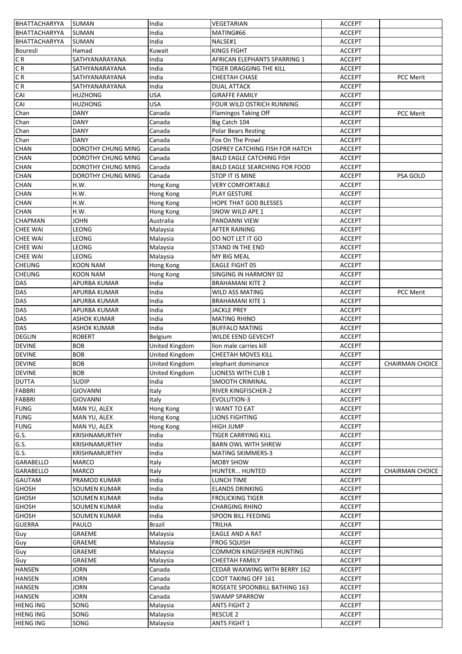| <b>BHATTACHARYYA</b> | <b>SUMAN</b>              | India          | VEGETARIAN                           | <b>ACCEPT</b> |                        |
|----------------------|---------------------------|----------------|--------------------------------------|---------------|------------------------|
| BHATTACHARYYA        | <b>SUMAN</b>              | India          | MATING#66                            | <b>ACCEPT</b> |                        |
| <b>BHATTACHARYYA</b> | <b>SUMAN</b>              | India          | NALSE#1                              | <b>ACCEPT</b> |                        |
| Bouresli             | Hamad                     | Kuwait         | <b>KINGS FIGHT</b>                   | <b>ACCEPT</b> |                        |
| CR                   | SATHYANARAYANA            | India          | AFRICAN ELEPHANTS SPARRING 1         | <b>ACCEPT</b> |                        |
| CR                   | SATHYANARAYANA            | India          | TIGER DRAGGING THE KILL              | <b>ACCEPT</b> |                        |
| CR                   | SATHYANARAYANA            | India          | <b>CHEETAH CHASE</b>                 | <b>ACCEPT</b> | <b>PCC Merit</b>       |
| C R                  | SATHYANARAYANA            | India          | DUAL ATTACK                          | <b>ACCEPT</b> |                        |
| CAI                  |                           | USA            | <b>GIRAFFE FAMILY</b>                | <b>ACCEPT</b> |                        |
|                      | <b>HUZHONG</b>            |                |                                      |               |                        |
| CAI                  | <b>HUZHONG</b>            | <b>USA</b>     | FOUR WILD OSTRICH RUNNING            | <b>ACCEPT</b> |                        |
| Chan                 | <b>DANY</b>               | Canada         | Flamingos Taking Off                 | <b>ACCEPT</b> | <b>PCC Merit</b>       |
| Chan                 | <b>DANY</b>               | Canada         | Big Catch 104                        | <b>ACCEPT</b> |                        |
| Chan                 | <b>DANY</b>               | Canada         | <b>Polar Bears Resting</b>           | <b>ACCEPT</b> |                        |
| Chan                 | <b>DANY</b>               | Canada         | Fox On The Prowl                     | <b>ACCEPT</b> |                        |
| <b>CHAN</b>          | DOROTHY CHUNG MING        | Canada         | OSPREY CATCHING FISH FOR HATCH       | <b>ACCEPT</b> |                        |
| <b>CHAN</b>          | DOROTHY CHUNG MING        | Canada         | <b>BALD EAGLE CATCHING FISH</b>      | <b>ACCEPT</b> |                        |
| <b>CHAN</b>          | DOROTHY CHUNG MING        | Canada         | <b>BALD EAGLE SEARCHING FOR FOOD</b> | <b>ACCEPT</b> |                        |
| <b>CHAN</b>          | <b>DOROTHY CHUNG MING</b> | Canada         | STOP IT IS MINE                      | <b>ACCEPT</b> | PSA GOLD               |
| CHAN                 | H.W.                      | Hong Kong      | <b>VERY COMFORTABLE</b>              | <b>ACCEPT</b> |                        |
| <b>CHAN</b>          | H.W.                      | Hong Kong      | <b>PLAY GESTURE</b>                  | <b>ACCEPT</b> |                        |
| CHAN                 | H.W.                      | Hong Kong      | <b>HOPE THAT GOD BLESSES</b>         | <b>ACCEPT</b> |                        |
|                      | H.W.                      |                |                                      |               |                        |
| <b>CHAN</b>          |                           | Hong Kong      | SNOW WILD APE 1                      | <b>ACCEPT</b> |                        |
| <b>CHAPMAN</b>       | <b>JOHN</b>               | Australia      | PANDANNI VIEW                        | <b>ACCEPT</b> |                        |
| <b>CHEE WAI</b>      | <b>LEONG</b>              | Malaysia       | AFTER RAINING                        | <b>ACCEPT</b> |                        |
| <b>CHEE WAI</b>      | LEONG                     | Malaysia       | DO NOT LET IT GO                     | <b>ACCEPT</b> |                        |
| <b>CHEE WAI</b>      | <b>LEONG</b>              | Malaysia       | STAND IN THE END                     | <b>ACCEPT</b> |                        |
| <b>CHEE WAI</b>      | <b>LEONG</b>              | Malaysia       | MY BIG MEAL                          | <b>ACCEPT</b> |                        |
| <b>CHEUNG</b>        | <b>KOON NAM</b>           | Hong Kong      | <b>EAGLE FIGHT 05</b>                | <b>ACCEPT</b> |                        |
| <b>CHEUNG</b>        | <b>KOON NAM</b>           | Hong Kong      | SINGING IN HARMONY 02                | <b>ACCEPT</b> |                        |
| <b>DAS</b>           | APURBA KUMAR              | India          | <b>BRAHAMANI KITE 2</b>              | <b>ACCEPT</b> |                        |
| <b>DAS</b>           | APURBA KUMAR              | India          | <b>WILD ASS MATING</b>               | <b>ACCEPT</b> | PCC Merit              |
| DAS                  | APURBA KUMAR              | India          | <b>BRAHAMANI KITE 1</b>              | <b>ACCEPT</b> |                        |
| DAS                  | APURBA KUMAR              | India          | <b>JACKLE PREY</b>                   | <b>ACCEPT</b> |                        |
| DAS                  | ASHOK KUMAR               | India          | MATING RHINO                         | <b>ACCEPT</b> |                        |
| <b>DAS</b>           | <b>ASHOK KUMAR</b>        | India          | <b>BUFFALO MATING</b>                |               |                        |
|                      |                           |                |                                      | <b>ACCEPT</b> |                        |
| <b>DEGLIN</b>        | <b>ROBERT</b>             | Belgium        | WILDE EEND GEVECHT                   | <b>ACCEPT</b> |                        |
| <b>DEVINE</b>        | <b>BOB</b>                | United Kingdom | lion male carries kill               | <b>ACCEPT</b> |                        |
| <b>DEVINE</b>        | <b>BOB</b>                | United Kingdom | <b>CHEETAH MOVES KILL</b>            | <b>ACCEPT</b> |                        |
| <b>DEVINE</b>        | <b>BOB</b>                | United Kingdom | elephant dominance                   | <b>ACCEPT</b> | CHAIRMAN CHOICE        |
| <b>DEVINE</b>        | <b>BOB</b>                | United Kingdom | LIONESS WITH CUB 1                   | <b>ACCEPT</b> |                        |
| <b>DUTTA</b>         | <b>SUDIP</b>              | India          | SMOOTH CRIMINAL                      | <b>ACCEPT</b> |                        |
| FABBRI               | <b>GIOVANNI</b>           | Italy          | RIVER KINGFISCHER-2                  | <b>ACCEPT</b> |                        |
| <b>FABBRI</b>        | <b>GIOVANNI</b>           |                |                                      |               |                        |
| <b>FUNG</b>          |                           | Italy          | <b>EVOLUTION-3</b>                   | <b>ACCEPT</b> |                        |
|                      |                           |                |                                      | <b>ACCEPT</b> |                        |
|                      | MAN YU, ALEX              | Hong Kong      | I WANT TO EAT                        |               |                        |
| <b>FUNG</b>          | MAN YU, ALEX              | Hong Kong      | LIONS FIGHTING                       | <b>ACCEPT</b> |                        |
| <b>FUNG</b>          | MAN YU, ALEX              | Hong Kong      | HIGH JUMP                            | <b>ACCEPT</b> |                        |
| G.S.                 | KRISHNAMURTHY             | India          | TIGER CARRYING KILL                  | <b>ACCEPT</b> |                        |
| G.S.                 | KRISHNAMURTHY             | India          | <b>BARN OWL WITH SHREW</b>           | <b>ACCEPT</b> |                        |
| G.S.                 | KRISHNAMURTHY             | India          | <b>MATING SKIMMERS-3</b>             | <b>ACCEPT</b> |                        |
| <b>GARABELLO</b>     | <b>MARCO</b>              | Italy          | MOBY SHOW                            | <b>ACCEPT</b> |                        |
| <b>GARABELLO</b>     | <b>MARCO</b>              | Italy          | HUNTER HUNTED                        | <b>ACCEPT</b> | <b>CHAIRMAN CHOICE</b> |
| <b>GAUTAM</b>        | PRAMOD KUMAR              | India          | LUNCH TIME                           | <b>ACCEPT</b> |                        |
| <b>GHOSH</b>         | <b>SOUMEN KUMAR</b>       | India          | <b>ELANDS DRINKING</b>               | <b>ACCEPT</b> |                        |
| <b>GHOSH</b>         | <b>SOUMEN KUMAR</b>       | India          | <b>FROLICKING TIGER</b>              | <b>ACCEPT</b> |                        |
| <b>GHOSH</b>         | <b>SOUMEN KUMAR</b>       | India          | <b>CHARGING RHINO</b>                | <b>ACCEPT</b> |                        |
|                      | <b>SOUMEN KUMAR</b>       | India          | SPOON BILL FEEDING                   | <b>ACCEPT</b> |                        |
| <b>GHOSH</b>         |                           |                |                                      |               |                        |
| <b>GUERRA</b>        | PAULO                     | Brazil         | TRILHA                               | <b>ACCEPT</b> |                        |
| Guy                  | GRAEME                    | Malaysia       | EAGLE AND A RAT                      | <b>ACCEPT</b> |                        |
| Guy                  | GRAEME                    | Malaysia       | FROG SQUISH                          | <b>ACCEPT</b> |                        |
| Guy                  | GRAEME                    | Malaysia       | COMMON KINGFISHER HUNTING            | <b>ACCEPT</b> |                        |
| Guy                  | GRAEME                    | Malaysia       | <b>CHEETAH FAMILY</b>                | <b>ACCEPT</b> |                        |
| <b>HANSEN</b>        | JORN                      | Canada         | CEDAR WAXWING WITH BERRY 162         | <b>ACCEPT</b> |                        |
| <b>HANSEN</b>        | <b>JORN</b>               | Canada         | COOT TAKING OFF 161                  | <b>ACCEPT</b> |                        |
| <b>HANSEN</b>        | <b>JORN</b>               | Canada         | ROSEATE SPOONBILL BATHING 163        | <b>ACCEPT</b> |                        |
| <b>HANSEN</b>        | <b>JORN</b>               | Canada         | SWAMP SPARROW                        | <b>ACCEPT</b> |                        |
| <b>HIENG ING</b>     | SONG                      | Malaysia       | <b>ANTS FIGHT 2</b>                  | <b>ACCEPT</b> |                        |
| <b>HIENG ING</b>     | SONG                      | Malaysia       | <b>RESCUE 2</b>                      | <b>ACCEPT</b> |                        |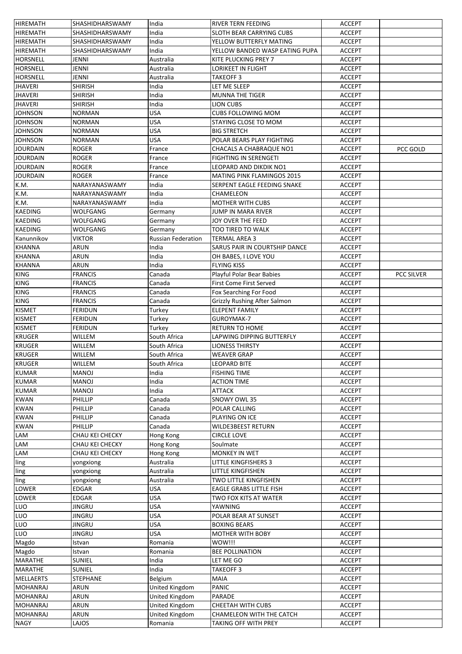| HIREMATH         | <b>SHASHIDHARSWAMY</b> | India                     | RIVER TERN FEEDING               | <b>ACCEPT</b> |                   |
|------------------|------------------------|---------------------------|----------------------------------|---------------|-------------------|
| HIREMATH         | SHASHIDHARSWAMY        | India                     | <b>SLOTH BEAR CARRYING CUBS</b>  | <b>ACCEPT</b> |                   |
| <b>HIREMATH</b>  | SHASHIDHARSWAMY        | India                     | YELLOW BUTTERFLY MATING          | <b>ACCEPT</b> |                   |
| HIREMATH         | SHASHIDHARSWAMY        | India                     | YELLOW BANDED WASP EATING PUPA   | <b>ACCEPT</b> |                   |
| HORSNELL         | JENNI                  | Australia                 | KITE PLUCKING PREY 7             | <b>ACCEPT</b> |                   |
| <b>HORSNELL</b>  | JENNI                  | Australia                 | <b>LORIKEET IN FLIGHT</b>        | <b>ACCEPT</b> |                   |
| <b>HORSNELL</b>  | JENNI                  | Australia                 | <b>TAKEOFF3</b>                  | <b>ACCEPT</b> |                   |
| <b>JHAVERI</b>   | SHIRISH                | India                     | LET ME SLEEP                     | <b>ACCEPT</b> |                   |
| <b>JHAVERI</b>   | SHIRISH                | India                     | <b>MUNNA THE TIGER</b>           | <b>ACCEPT</b> |                   |
| <b>JHAVERI</b>   | <b>SHIRISH</b>         | India                     | LION CUBS                        | <b>ACCEPT</b> |                   |
| <b>JOHNSON</b>   | <b>NORMAN</b>          | <b>USA</b>                | <b>CUBS FOLLOWING MOM</b>        | <b>ACCEPT</b> |                   |
| <b>JOHNSON</b>   | NORMAN                 | USA                       | STAYING CLOSE TO MOM             | <b>ACCEPT</b> |                   |
| <b>JOHNSON</b>   | <b>NORMAN</b>          | USA                       | <b>BIG STRETCH</b>               | <b>ACCEPT</b> |                   |
| <b>JOHNSON</b>   | <b>NORMAN</b>          | USA                       | POLAR BEARS PLAY FIGHTING        | <b>ACCEPT</b> |                   |
| <b>JOURDAIN</b>  | ROGER                  | France                    | CHACALS A CHABRAQUE NO1          | <b>ACCEPT</b> | PCC GOLD          |
| <b>JOURDAIN</b>  | <b>ROGER</b>           | France                    | <b>FIGHTING IN SERENGETI</b>     | <b>ACCEPT</b> |                   |
| JOURDAIN         | <b>ROGER</b>           | France                    | LEOPARD AND DIKDIK NO1           | <b>ACCEPT</b> |                   |
| <b>JOURDAIN</b>  | ROGER                  | France                    | MATING PINK FLAMINGOS 2015       | <b>ACCEPT</b> |                   |
| K.M.             | NARAYANASWAMY          | India                     | SERPENT EAGLE FEEDING SNAKE      | <b>ACCEPT</b> |                   |
| K.M.             | NARAYANASWAMY          | India                     | CHAMELEON                        | <b>ACCEPT</b> |                   |
| K.M.             | NARAYANASWAMY          | India                     | <b>MOTHER WITH CUBS</b>          | <b>ACCEPT</b> |                   |
| <b>KAEDING</b>   | WOLFGANG               | Germany                   | JUMP IN MARA RIVER               | <b>ACCEPT</b> |                   |
| <b>KAEDING</b>   | WOLFGANG               | Germany                   | JOY OVER THE FEED                | <b>ACCEPT</b> |                   |
| <b>KAEDING</b>   | WOLFGANG               | Germany                   | TOO TIRED TO WALK                | <b>ACCEPT</b> |                   |
| Kanunnikov       | <b>VIKTOR</b>          | <b>Russian Federation</b> | <b>TERMAL AREA 3</b>             | <b>ACCEPT</b> |                   |
| <b>KHANNA</b>    | ARUN                   | India                     | SARUS PAIR IN COURTSHIP DANCE    | <b>ACCEPT</b> |                   |
| <b>KHANNA</b>    | ARUN                   | India                     | OH BABES, I LOVE YOU             | <b>ACCEPT</b> |                   |
| <b>KHANNA</b>    | ARUN                   | India                     | <b>FLYING KISS</b>               | <b>ACCEPT</b> |                   |
| <b>KING</b>      | <b>FRANCIS</b>         | Canada                    | <b>Playful Polar Bear Babies</b> | <b>ACCEPT</b> | <b>PCC SILVER</b> |
| <b>KING</b>      | <b>FRANCIS</b>         | Canada                    | First Come First Served          | <b>ACCEPT</b> |                   |
| KING             | FRANCIS                | Canada                    | Fox Searching For Food           | <b>ACCEPT</b> |                   |
| <b>KING</b>      | FRANCIS                | Canada                    | Grizzly Rushing After Salmon     | <b>ACCEPT</b> |                   |
| <b>KISMET</b>    | FERIDUN                | Turkey                    | <b>ELEPENT FAMILY</b>            | <b>ACCEPT</b> |                   |
| <b>KISMET</b>    | FERIDUN                | Turkey                    | GUROYMAK-7                       | <b>ACCEPT</b> |                   |
| <b>KISMET</b>    | FERIDUN                | Turkey                    | RETURN TO HOME                   | <b>ACCEPT</b> |                   |
| <b>KRUGER</b>    | WILLEM                 | South Africa              | LAPWING DIPPING BUTTERFLY        | <b>ACCEPT</b> |                   |
| <b>KRUGER</b>    | WILLEM                 | South Africa              | <b>LIONESS THIRSTY</b>           | <b>ACCEPT</b> |                   |
| <b>KRUGER</b>    | WILLEM                 | South Africa              | <b>WEAVER GRAP</b>               | <b>ACCEPT</b> |                   |
| <b>KRUGER</b>    | WILLEM                 | South Africa              | <b>LEOPARD BITE</b>              | <b>ACCEPT</b> |                   |
| <b>KUMAR</b>     | MANOJ                  | India                     | <b>FISHING TIME</b>              | <b>ACCEPT</b> |                   |
| <b>KUMAR</b>     | <b>LONAM</b>           | India                     | <b>ACTION TIME</b>               | <b>ACCEPT</b> |                   |
| <b>KUMAR</b>     | MANOJ                  | India                     | <b>ATTACK</b>                    | <b>ACCEPT</b> |                   |
| <b>KWAN</b>      | PHILLIP                | Canada                    | SNOWY OWL 35                     | <b>ACCEPT</b> |                   |
| <b>KWAN</b>      | PHILLIP                | Canada                    | POLAR CALLING                    | <b>ACCEPT</b> |                   |
| <b>KWAN</b>      | <b>PHILLIP</b>         | Canada                    | PLAYING ON ICE                   | <b>ACCEPT</b> |                   |
| <b>KWAN</b>      | PHILLIP                | Canada                    | <b>WILDE3BEEST RETURN</b>        | <b>ACCEPT</b> |                   |
| LAM              | CHAU KEI CHECKY        | Hong Kong                 | <b>CIRCLE LOVE</b>               | <b>ACCEPT</b> |                   |
| LAM              | CHAU KEI CHECKY        | Hong Kong                 | Soulmate                         | <b>ACCEPT</b> |                   |
| LAM              | CHAU KEI CHECKY        | Hong Kong                 | MONKEY IN WET                    | <b>ACCEPT</b> |                   |
| ling             | yongxiong              | Australia                 | LITTLE KINGFISHERS 3             | <b>ACCEPT</b> |                   |
| ling             | yongxiong              | Australia                 | LITTLE KINGFISHEN                | <b>ACCEPT</b> |                   |
| ling             | yongxiong              | Australia                 | TWO LITTLE KINGFISHEN            | <b>ACCEPT</b> |                   |
| LOWER            | EDGAR                  | <b>USA</b>                | EAGLE GRABS LITTLE FISH          | <b>ACCEPT</b> |                   |
| <b>LOWER</b>     | EDGAR                  | <b>USA</b>                | TWO FOX KITS AT WATER            | <b>ACCEPT</b> |                   |
| LUO              | <b>JINGRU</b>          | <b>USA</b>                | YAWNING                          | <b>ACCEPT</b> |                   |
| LUO              | JINGRU                 | USA                       | POLAR BEAR AT SUNSET             | <b>ACCEPT</b> |                   |
| <b>LUO</b>       | JINGRU                 | USA                       | <b>BOXING BEARS</b>              | <b>ACCEPT</b> |                   |
| LUO              | JINGRU                 | USA                       | MOTHER WITH BOBY                 | <b>ACCEPT</b> |                   |
| Magdo            | Istvan                 | Romania                   | WOW!!!                           | <b>ACCEPT</b> |                   |
| Magdo            | Istvan                 | Romania                   | <b>BEE POLLINATION</b>           | <b>ACCEPT</b> |                   |
| <b>MARATHE</b>   | SUNIEL                 | India                     | LET ME GO                        | <b>ACCEPT</b> |                   |
| <b>MARATHE</b>   | <b>SUNIEL</b>          | India                     | <b>TAKEOFF3</b>                  | <b>ACCEPT</b> |                   |
| <b>MELLAERTS</b> | <b>STEPHANE</b>        | Belgium                   | MAIA                             | <b>ACCEPT</b> |                   |
| <b>MOHANRAJ</b>  | ARUN                   | United Kingdom            | <b>PANIC</b>                     | <b>ACCEPT</b> |                   |
| MOHANRAJ         | ARUN                   | United Kingdom            | PARADE                           | <b>ACCEPT</b> |                   |
| <b>MOHANRAJ</b>  | ARUN                   | United Kingdom            | CHEETAH WITH CUBS                | <b>ACCEPT</b> |                   |
| <b>MOHANRAJ</b>  | <b>ARUN</b>            | United Kingdom            | CHAMELEON WITH THE CATCH         | <b>ACCEPT</b> |                   |
| <b>NAGY</b>      | LAJOS                  | Romania                   | TAKING OFF WITH PREY             | <b>ACCEPT</b> |                   |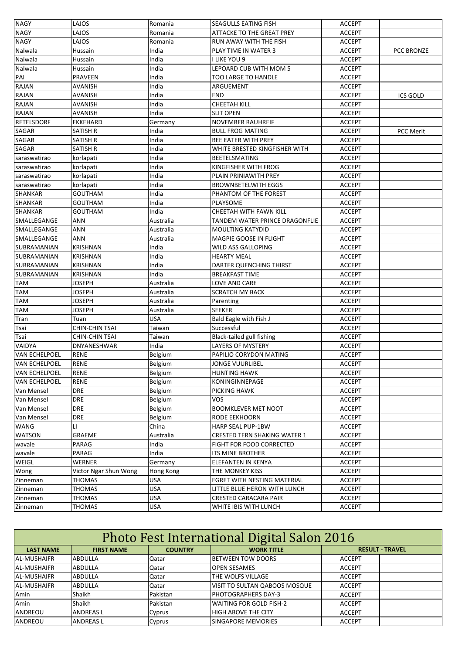| <b>NAGY</b>          | LAJOS                 | Romania    | SEAGULLS EATING FISH                | <b>ACCEPT</b> |                  |
|----------------------|-----------------------|------------|-------------------------------------|---------------|------------------|
| <b>NAGY</b>          | LAJOS                 | Romania    | ATTACKE TO THE GREAT PREY           | <b>ACCEPT</b> |                  |
| <b>NAGY</b>          | LAJOS                 | Romania    | RUN AWAY WITH THE FISH              | <b>ACCEPT</b> |                  |
| Nalwala              | Hussain               | India      | PLAY TIME IN WATER 3                | <b>ACCEPT</b> | PCC BRONZE       |
| Nalwala              | Hussain               | India      | I LIKE YOU 9                        | <b>ACCEPT</b> |                  |
| Nalwala              | Hussain               | India      | LEPOARD CUB WITH MOM 5              | <b>ACCEPT</b> |                  |
| PAI                  | PRAVEEN               | India      | <b>TOO LARGE TO HANDLE</b>          | <b>ACCEPT</b> |                  |
| RAJAN                | AVANISH               | India      | ARGUEMENT                           | <b>ACCEPT</b> |                  |
| RAJAN                | AVANISH               | India      | <b>END</b>                          | <b>ACCEPT</b> | ICS GOLD         |
| RAJAN                | AVANISH               | India      | <b>CHEETAH KILL</b>                 | <b>ACCEPT</b> |                  |
| RAJAN                | AVANISH               | India      | <b>SLIT OPEN</b>                    | <b>ACCEPT</b> |                  |
| <b>RETELSDORF</b>    | <b>EKKEHARD</b>       | Germany    | <b>NOVEMBER RAUHREIF</b>            | <b>ACCEPT</b> |                  |
| SAGAR                | SATISH R              | India      | <b>BULL FROG MATING</b>             | <b>ACCEPT</b> | <b>PCC Merit</b> |
| SAGAR                | SATISH R              | India      | BEE EATER WITH PREY                 | <b>ACCEPT</b> |                  |
| SAGAR                | SATISH R              | India      | WHITE BRESTED KINGFISHER WITH       | <b>ACCEPT</b> |                  |
| saraswatirao         | korlapati             | India      | <b>BEETELSMATING</b>                | <b>ACCEPT</b> |                  |
| saraswatirao         | korlapati             | India      | KINGFISHER WITH FROG                | <b>ACCEPT</b> |                  |
| saraswatirao         | korlapati             | India      | PLAIN PRINIAWITH PREY               | <b>ACCEPT</b> |                  |
| saraswatirao         | korlapati             | India      | <b>BROWNBETELWITH EGGS</b>          | <b>ACCEPT</b> |                  |
| <b>SHANKAR</b>       | <b>GOUTHAM</b>        | India      | PHANTOM OF THE FOREST               | <b>ACCEPT</b> |                  |
| SHANKAR              | <b>GOUTHAM</b>        | India      | <b>PLAYSOME</b>                     | <b>ACCEPT</b> |                  |
| <b>SHANKAR</b>       | GOUTHAM               | India      | <b>CHEETAH WITH FAWN KILL</b>       | <b>ACCEPT</b> |                  |
| SMALLEGANGE          | ANN                   | Australia  | TANDEM WATER PRINCE DRAGONFLIE      | <b>ACCEPT</b> |                  |
| SMALLEGANGE          | ANN                   | Australia  | <b>MOULTING KATYDID</b>             | <b>ACCEPT</b> |                  |
| SMALLEGANGE          | <b>ANN</b>            | Australia  | MAGPIE GOOSE IN FLIGHT              | <b>ACCEPT</b> |                  |
| SUBRAMANIAN          | <b>KRISHNAN</b>       | India      | WILD ASS GALLOPING                  | <b>ACCEPT</b> |                  |
| SUBRAMANIAN          | <b>KRISHNAN</b>       | India      | <b>HEARTY MEAL</b>                  | <b>ACCEPT</b> |                  |
| SUBRAMANIAN          | <b>KRISHNAN</b>       | India      | DARTER QUENCHING THIRST             | <b>ACCEPT</b> |                  |
| SUBRAMANIAN          | <b>KRISHNAN</b>       | India      | <b>BREAKFAST TIME</b>               | <b>ACCEPT</b> |                  |
| <b>TAM</b>           | JOSEPH                | Australia  | LOVE AND CARE                       | <b>ACCEPT</b> |                  |
| <b>TAM</b>           | JOSEPH                | Australia  | <b>SCRATCH MY BACK</b>              | <b>ACCEPT</b> |                  |
| <b>TAM</b>           | <b>JOSEPH</b>         | Australia  | Parenting                           | <b>ACCEPT</b> |                  |
| TAM                  | JOSEPH                | Australia  | <b>SEEKER</b>                       | <b>ACCEPT</b> |                  |
| Tran                 | Tuan                  | USA        | Bald Eagle with Fish J              | <b>ACCEPT</b> |                  |
| Tsai                 | <b>CHIN-CHIN TSAI</b> | Taiwan     | Successful                          | <b>ACCEPT</b> |                  |
| Tsai                 | <b>CHIN-CHIN TSAI</b> | Taiwan     | Black-tailed gull fishing           | <b>ACCEPT</b> |                  |
| <b>VAIDYA</b>        | DNYANESHWAR           | India      | LAYERS OF MYSTERY                   | <b>ACCEPT</b> |                  |
| <b>VAN ECHELPOEL</b> | <b>RENE</b>           | Belgium    | PAPILIO CORYDON MATING              | <b>ACCEPT</b> |                  |
| <b>VAN ECHELPOEL</b> | <b>RENE</b>           | Belgium    | <b>JONGE VUURLIBEL</b>              | <b>ACCEPT</b> |                  |
| <b>VAN ECHELPOEL</b> | <b>RENE</b>           | Belgium    | <b>HUNTING HAWK</b>                 | <b>ACCEPT</b> |                  |
| <b>VAN ECHELPOEL</b> | <b>RENE</b>           | Belgium    | KONINGINNEPAGE                      | <b>ACCEPT</b> |                  |
| Van Mensel           | <b>DRE</b>            | Belgium    | PICKING HAWK                        | <b>ACCEPT</b> |                  |
| Van Mensel           | <b>DRE</b>            | Belgium    | <b>VOS</b>                          | <b>ACCEPT</b> |                  |
| Van Mensel           | <b>DRE</b>            | Belgium    | <b>BOOMKLEVER MET NOOT</b>          | <b>ACCEPT</b> |                  |
| Van Mensel           | DRE                   | Belgium    | RODE EEKHOORN                       | <b>ACCEPT</b> |                  |
| WANG                 | LI.                   | China      | HARP SEAL PUP-1BW                   | <b>ACCEPT</b> |                  |
| <b>WATSON</b>        | GRAEME                | Australia  | <b>CRESTED TERN SHAKING WATER 1</b> | <b>ACCEPT</b> |                  |
| wavale               | PARAG                 | India      | FIGHT FOR FOOD CORRECTED            | <b>ACCEPT</b> |                  |
| wavale               | PARAG                 | India      | <b>ITS MINE BROTHER</b>             | <b>ACCEPT</b> |                  |
| WEIGL                | WERNER                | Germany    | ELEFANTEN IN KENYA                  | <b>ACCEPT</b> |                  |
| Wong                 | Victor Ngar Shun Wong | Hong Kong  | THE MONKEY KISS                     | <b>ACCEPT</b> |                  |
| Zinneman             | THOMAS                | USA        | EGRET WITH NESTING MATERIAL         | <b>ACCEPT</b> |                  |
| Zinneman             | <b>THOMAS</b>         | <b>USA</b> | LITTLE BLUE HERON WITH LUNCH        | <b>ACCEPT</b> |                  |
| Zinneman             | <b>THOMAS</b>         | <b>USA</b> | <b>CRESTED CARACARA PAIR</b>        | <b>ACCEPT</b> |                  |
| Zinneman             | <b>THOMAS</b>         | <b>USA</b> | WHITE IBIS WITH LUNCH               | ACCEPT        |                  |
|                      |                       |            |                                     |               |                  |

| Photo Fest International Digital Salon 2016                                  |                  |          |                               |                        |  |  |  |
|------------------------------------------------------------------------------|------------------|----------|-------------------------------|------------------------|--|--|--|
| <b>FIRST NAME</b><br><b>WORK TITLE</b><br><b>LAST NAME</b><br><b>COUNTRY</b> |                  |          |                               | <b>RESULT - TRAVEL</b> |  |  |  |
| <b>AL-MUSHAIFR</b>                                                           | <b>ABDULLA</b>   | Qatar    | <b>BETWEEN TOW DOORS</b>      | <b>ACCEPT</b>          |  |  |  |
| <b>AL-MUSHAIFR</b>                                                           | <b>ABDULLA</b>   | Qatar    | <b>OPEN SESAMES</b>           | <b>ACCEPT</b>          |  |  |  |
| <b>AL-MUSHAIFR</b>                                                           | <b>ABDULLA</b>   | Qatar    | THE WOLFS VILLAGE             | <b>ACCEPT</b>          |  |  |  |
| <b>AL-MUSHAIFR</b>                                                           | <b>ABDULLA</b>   | Qatar    | VISIT TO SULTAN QABOOS MOSQUE | <b>ACCEPT</b>          |  |  |  |
| Amin                                                                         | Shaikh           | Pakistan | <b>PHOTOGRAPHERS DAY-3</b>    | <b>ACCEPT</b>          |  |  |  |
| Amin                                                                         | Shaikh           | Pakistan | WAITING FOR GOLD FISH-2       | <b>ACCEPT</b>          |  |  |  |
| ANDREOU                                                                      | <b>ANDREAS L</b> | Cyprus   | <b>HIGH ABOVE THE CITY</b>    | <b>ACCEPT</b>          |  |  |  |
| ANDREOU                                                                      | <b>ANDREAS L</b> | Cyprus   | <b>SINGAPORE MEMORIES</b>     | <b>ACCEPT</b>          |  |  |  |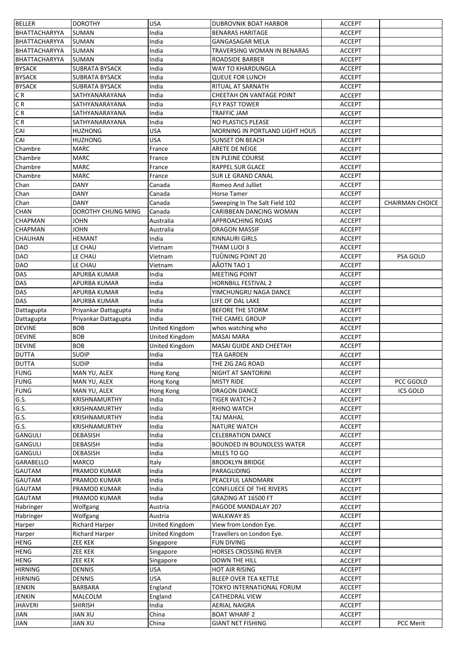| <b>BELLER</b>        | <b>DOROTHY</b>        | <b>USA</b>     | <b>DUBROVNIK BOAT HARBOR</b>          | <b>ACCEPT</b> |                        |
|----------------------|-----------------------|----------------|---------------------------------------|---------------|------------------------|
| <b>BHATTACHARYYA</b> | <b>SUMAN</b>          | India          | <b>BENARAS HARITAGE</b>               | <b>ACCEPT</b> |                        |
| BHATTACHARYYA        | <b>SUMAN</b>          | India          | <b>GANGASAGAR MELA</b>                | <b>ACCEPT</b> |                        |
| BHATTACHARYYA        | <b>SUMAN</b>          | India          | TRAVERSING WOMAN IN BENARAS           | <b>ACCEPT</b> |                        |
| <b>BHATTACHARYYA</b> | <b>SUMAN</b>          | India          | ROADSIDE BARBER                       | <b>ACCEPT</b> |                        |
| <b>BYSACK</b>        | <b>SUBRATA BYSACK</b> | India          | WAY TO KHARDUNGLA                     | <b>ACCEPT</b> |                        |
| <b>BYSACK</b>        | <b>SUBRATA BYSACK</b> | India          | <b>QUEUE FOR LUNCH</b>                | <b>ACCEPT</b> |                        |
| <b>BYSACK</b>        | SUBRATA BYSACK        | India          | RITUAL AT SARNATH                     | <b>ACCEPT</b> |                        |
| CR                   | SATHYANARAYANA        | India          | <b>CHEETAH ON VANTAGE POINT</b>       | <b>ACCEPT</b> |                        |
| CR                   | SATHYANARAYANA        | India          | <b>FLY PAST TOWER</b>                 | <b>ACCEPT</b> |                        |
| CR                   | SATHYANARAYANA        | India          | <b>TRAFFIC JAM</b>                    | <b>ACCEPT</b> |                        |
| CR                   | SATHYANARAYANA        | India          | <b>NO PLASTICS PLEASE</b>             | <b>ACCEPT</b> |                        |
| CAI                  | HUZHONG               | USA            | <b>MORNING IN PORTLAND LIGHT HOUS</b> | <b>ACCEPT</b> |                        |
| CAI                  | HUZHONG               | <b>USA</b>     | <b>SUNSET ON BEACH</b>                | <b>ACCEPT</b> |                        |
| Chambre              | <b>MARC</b>           | France         | ARETE DE NEIGE                        | <b>ACCEPT</b> |                        |
| Chambre              | MARC                  | France         | EN PLEINE COURSE                      | <b>ACCEPT</b> |                        |
| Chambre              | MARC                  | France         | RAPPEL SUR GLACE                      | <b>ACCEPT</b> |                        |
| Chambre              | MARC                  | France         | <b>SUR LE GRAND CANAL</b>             | <b>ACCEPT</b> |                        |
| Chan                 | DANY                  | Canada         | Romeo And Julliet                     | <b>ACCEPT</b> |                        |
| Chan                 | DANY                  | Canada         | Horse Tamer                           | <b>ACCEPT</b> |                        |
| Chan                 | DANY                  | Canada         | Sweeping In The Salt Field 102        | <b>ACCEPT</b> | <b>CHAIRMAN CHOICE</b> |
| <b>CHAN</b>          | DOROTHY CHUNG MING    | Canada         | CARIBBEAN DANCING WOMAN               | <b>ACCEPT</b> |                        |
| <b>CHAPMAN</b>       | JOHN                  | Australia      | APPROACHING ROJAS                     | ACCEPT        |                        |
| <b>CHAPMAN</b>       | JOHN                  | Australia      | DRAGON MASSIF                         | <b>ACCEPT</b> |                        |
| CHAUHAN              | HEMANT                | India          | KINNAURI GIRLS                        | <b>ACCEPT</b> |                        |
| <b>DAO</b>           | LE CHAU               | Vietnam        | THAM LUOI 3                           | <b>ACCEPT</b> |                        |
| <b>DAO</b>           | LE CHAU               | Vietnam        | TUÜNING POINT 20                      | <b>ACCEPT</b> | PSA GOLD               |
| <b>DAO</b>           | LE CHAU               | Vietnam        | AÂOTN TAO 1                           | <b>ACCEPT</b> |                        |
| <b>DAS</b>           | APURBA KUMAR          | India          | <b>MEETING POINT</b>                  | <b>ACCEPT</b> |                        |
| <b>DAS</b>           | APURBA KUMAR          | India          | <b>HORNBILL FESTIVAL 2</b>            | <b>ACCEPT</b> |                        |
| DAS                  | APURBA KUMAR          | India          | YIMCHUNGRU NAGA DANCE                 | <b>ACCEPT</b> |                        |
| DAS                  | APURBA KUMAR          | India          | LIFE OF DAL LAKE                      | <b>ACCEPT</b> |                        |
| Dattagupta           | Priyankar Dattagupta  | India          | BEFORE THE STORM                      | <b>ACCEPT</b> |                        |
| Dattagupta           | Priyankar Dattagupta  | India          | THE CAMEL GROUP                       | <b>ACCEPT</b> |                        |
| <b>DEVINE</b>        | BOB                   | United Kingdom | whos watching who                     | <b>ACCEPT</b> |                        |
| <b>DEVINE</b>        | <b>BOB</b>            | United Kingdom | <b>MASAI MARA</b>                     | ACCEPT        |                        |
| <b>DEVINE</b>        | BOB                   | United Kingdom | MASAI GUIDE AND CHEETAH               | <b>ACCEPT</b> |                        |
| <b>DUTTA</b>         | SUDIP                 | India          | TEA GARDEN                            | <b>ACCEPT</b> |                        |
| <b>DUTTA</b>         | <b>SUDIP</b>          | India          | THE ZIG ZAG ROAD                      | <b>ACCEPT</b> |                        |
| <b>FUNG</b>          | MAN YU, ALEX          | Hong Kong      | NIGHT AT SANTORINI                    | <b>ACCEPT</b> |                        |
| <b>FUNG</b>          | MAN YU, ALEX          | Hong Kong      | <b>MISTY RIDE</b>                     | <b>ACCEPT</b> | PCC GGOLD              |
| <b>FUNG</b>          | MAN YU, ALEX          | Hong Kong      | DRAGON DANCE                          | <b>ACCEPT</b> | ICS GOLD               |
| G.S.                 | KRISHNAMURTHY         | India          | <b>TIGER WATCH-2</b>                  | <b>ACCEPT</b> |                        |
| G.S.                 | KRISHNAMURTHY         | India          | RHINO WATCH                           | <b>ACCEPT</b> |                        |
| G.S.                 | KRISHNAMURTHY         | India          | TAJ MAHAL                             | <b>ACCEPT</b> |                        |
| G.S.                 | KRISHNAMURTHY         | India          | <b>NATURE WATCH</b>                   | <b>ACCEPT</b> |                        |
| <b>GANGULI</b>       | DEBASISH              | India          | <b>CELEBRATION DANCE</b>              | <b>ACCEPT</b> |                        |
| <b>GANGULI</b>       | <b>DEBASISH</b>       | India          | <b>BOUNDED IN BOUNDLESS WATER</b>     | <b>ACCEPT</b> |                        |
| <b>GANGULI</b>       | DEBASISH              | India          | MILES TO GO                           | <b>ACCEPT</b> |                        |
| <b>GARABELLO</b>     | MARCO                 | Italy          | <b>BROOKLYN BRIDGE</b>                | <b>ACCEPT</b> |                        |
| <b>GAUTAM</b>        | PRAMOD KUMAR          | India          | PARAGLIDING                           | <b>ACCEPT</b> |                        |
| <b>GAUTAM</b>        | PRAMOD KUMAR          | India          | PEACEFUL LANDMARK                     | <b>ACCEPT</b> |                        |
| <b>GAUTAM</b>        | PRAMOD KUMAR          | India          | <b>CONFLUECE OF THE RIVERS</b>        | <b>ACCEPT</b> |                        |
| <b>GAUTAM</b>        | PRAMOD KUMAR          | India          | GRAZING AT 16500 FT                   | <b>ACCEPT</b> |                        |
| Habringer            | Wolfgang              | Austria        | PAGODE MANDALAY 207                   | <b>ACCEPT</b> |                        |
| Habringer            | Wolfgang              | Austria        | WALKWAY 85                            | <b>ACCEPT</b> |                        |
| Harper               | <b>Richard Harper</b> | United Kingdom | View from London Eye.                 | <b>ACCEPT</b> |                        |
| Harper               | <b>Richard Harper</b> | United Kingdom | Travellers on London Eye.             | <b>ACCEPT</b> |                        |
| <b>HENG</b>          | <b>ZEE KEK</b>        | Singapore      | <b>FUN DIVING</b>                     | <b>ACCEPT</b> |                        |
| <b>HENG</b>          | <b>ZEE KEK</b>        | Singapore      | <b>HORSES CROSSING RIVER</b>          | <b>ACCEPT</b> |                        |
| <b>HENG</b>          | <b>ZEE KEK</b>        | Singapore      | DOWN THE HILL                         | <b>ACCEPT</b> |                        |
| <b>HIRNING</b>       | <b>DENNIS</b>         | USA            | HOT AIR RISING                        | <b>ACCEPT</b> |                        |
| <b>HIRNING</b>       | <b>DENNIS</b>         | <b>USA</b>     | <b>BLEEP OVER TEA KETTLE</b>          | <b>ACCEPT</b> |                        |
| JENKIN               | BARBARA               | England        | TOKYO INTERNATIONAL FORUM             | <b>ACCEPT</b> |                        |
| JENKIN               | MALCOLM               | England        | <b>CATHEDRAL VIEW</b>                 | <b>ACCEPT</b> |                        |
| <b>JHAVERI</b>       | <b>SHIRISH</b>        | India          | <b>AERIAL NAIGRA</b>                  | <b>ACCEPT</b> |                        |
| <b>JIAN</b>          | <b>JIAN XU</b>        | China          | <b>BOAT WHARF 2</b>                   | <b>ACCEPT</b> |                        |
| <b>JIAN</b>          | <b>JIAN XU</b>        | China          | <b>GIANT NET FISHING</b>              | <b>ACCEPT</b> | PCC Merit              |
|                      |                       |                |                                       |               |                        |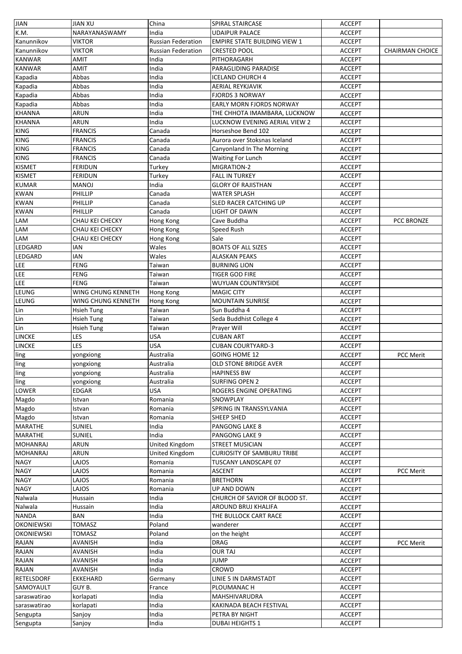| <b>JIAN</b>                            | <b>JIAN XU</b>         | China                     | SPIRAL STAIRCASE                    | <b>ACCEPT</b>                  |                        |
|----------------------------------------|------------------------|---------------------------|-------------------------------------|--------------------------------|------------------------|
| K.M.                                   | NARAYANASWAMY          | India                     | <b>UDAIPUR PALACE</b>               | <b>ACCEPT</b>                  |                        |
| Kanunnikov                             | <b>VIKTOR</b>          | <b>Russian Federation</b> | <b>EMPIRE STATE BUILDING VIEW 1</b> | <b>ACCEPT</b>                  |                        |
| Kanunnikov                             | <b>VIKTOR</b>          | <b>Russian Federation</b> | <b>CRESTED POOL</b>                 | <b>ACCEPT</b>                  | <b>CHAIRMAN CHOICE</b> |
| <b>KANWAR</b>                          | AMIT                   | India                     | PITHORAGARH                         | <b>ACCEPT</b>                  |                        |
| <b>KANWAR</b>                          | <b>AMIT</b>            | India                     | PARAGLIDING PARADISE                | <b>ACCEPT</b>                  |                        |
| Kapadia                                | Abbas                  | India                     | <b>ICELAND CHURCH 4</b>             | <b>ACCEPT</b>                  |                        |
| Kapadia                                | Abbas                  | India                     | AERIAL REYKJAVIK                    | <b>ACCEPT</b>                  |                        |
| Kapadia                                | Abbas                  | India                     | <b>FJORDS 3 NORWAY</b>              | <b>ACCEPT</b>                  |                        |
| Kapadia                                | Abbas                  | India                     | <b>EARLY MORN FJORDS NORWAY</b>     | <b>ACCEPT</b>                  |                        |
| <b>KHANNA</b>                          | <b>ARUN</b>            | India                     | THE CHHOTA IMAMBARA, LUCKNOW        | <b>ACCEPT</b>                  |                        |
| <b>KHANNA</b>                          | <b>ARUN</b>            | India                     |                                     |                                |                        |
|                                        |                        |                           | LUCKNOW EVENING AERIAL VIEW 2       | <b>ACCEPT</b><br><b>ACCEPT</b> |                        |
| <b>KING</b>                            | <b>FRANCIS</b>         | Canada                    | Horseshoe Bend 102                  |                                |                        |
| <b>KING</b>                            | <b>FRANCIS</b>         | Canada                    | Aurora over Stoksnas Iceland        | <b>ACCEPT</b>                  |                        |
| <b>KING</b>                            | <b>FRANCIS</b>         | Canada                    | Canyonland In The Morning           | <b>ACCEPT</b>                  |                        |
| <b>KING</b>                            | <b>FRANCIS</b>         | Canada                    | Waiting For Lunch                   | <b>ACCEPT</b>                  |                        |
| <b>KISMET</b>                          | <b>FERIDUN</b>         | Turkey                    | MIGRATION-2                         | <b>ACCEPT</b>                  |                        |
| <b>KISMET</b>                          | <b>FERIDUN</b>         | Turkey                    | <b>FALL IN TURKEY</b>               | <b>ACCEPT</b>                  |                        |
| <b>KUMAR</b>                           | <b>MANOJ</b>           | India                     | <b>GLORY OF RAJISTHAN</b>           | <b>ACCEPT</b>                  |                        |
| <b>KWAN</b>                            | PHILLIP                | Canada                    | WATER SPLASH                        | <b>ACCEPT</b>                  |                        |
| <b>KWAN</b>                            | PHILLIP                | Canada                    | SLED RACER CATCHING UP              | <b>ACCEPT</b>                  |                        |
| <b>KWAN</b>                            | PHILLIP                | Canada                    | LIGHT OF DAWN                       | <b>ACCEPT</b>                  |                        |
| LAM                                    | CHAU KEI CHECKY        | Hong Kong                 | Cave Buddha                         | <b>ACCEPT</b>                  | PCC BRONZE             |
| LAM                                    | CHAU KEI CHECKY        | Hong Kong                 | Speed Rush                          | <b>ACCEPT</b>                  |                        |
| LAM                                    | <b>CHAU KEI CHECKY</b> | Hong Kong                 | Sale                                | <b>ACCEPT</b>                  |                        |
| LEDGARD                                | <b>IAN</b>             | Wales                     | <b>BOATS OF ALL SIZES</b>           | <b>ACCEPT</b>                  |                        |
| LEDGARD                                | <b>IAN</b>             | Wales                     | ALASKAN PEAKS                       | <b>ACCEPT</b>                  |                        |
| <b>LEE</b>                             | <b>FENG</b>            | Taiwan                    | <b>BURNING LION</b>                 | <b>ACCEPT</b>                  |                        |
| <b>LEE</b>                             | <b>FENG</b>            | Taiwan                    | <b>TIGER GOD FIRE</b>               | <b>ACCEPT</b>                  |                        |
| <b>LEE</b>                             | <b>FENG</b>            | Taiwan                    | WUYUAN COUNTRYSIDE                  | <b>ACCEPT</b>                  |                        |
| <b>LEUNG</b>                           | WING CHUNG KENNETH     | Hong Kong                 | <b>MAGIC CITY</b>                   | <b>ACCEPT</b>                  |                        |
| <b>LEUNG</b>                           |                        |                           | <b>MOUNTAIN SUNRISE</b>             | <b>ACCEPT</b>                  |                        |
|                                        | WING CHUNG KENNETH     | Hong Kong                 |                                     |                                |                        |
| Lin                                    | <b>Hsieh Tung</b>      | Taiwan                    | Sun Buddha 4                        | <b>ACCEPT</b>                  |                        |
| Lin                                    | <b>Hsieh Tung</b>      | Taiwan                    | Seda Buddhist College 4             | <b>ACCEPT</b>                  |                        |
| Lin                                    | <b>Hsieh Tung</b>      | Taiwan                    | Prayer Will                         | <b>ACCEPT</b>                  |                        |
| <b>LINCKE</b>                          | LES                    | <b>USA</b>                | <b>CUBAN ART</b>                    | <b>ACCEPT</b>                  |                        |
| <b>LINCKE</b>                          | LES                    | <b>USA</b>                | <b>CUBAN COURTYARD-3</b>            | <b>ACCEPT</b>                  |                        |
| ling                                   | yongxiong              | Australia                 | <b>GOING HOME 12</b>                | <b>ACCEPT</b>                  | <b>PCC Merit</b>       |
| ling                                   | yongxiong              | Australia                 | <b>OLD STONE BRIDGE AVER</b>        | <b>ACCEPT</b>                  |                        |
| ling                                   | yongxiong              | Australia                 | <b>HAPINESS BW</b>                  | <b>ACCEPT</b>                  |                        |
| ling                                   | yongxiong              | Australia                 | <b>SURFING OPEN 2</b>               | <b>ACCEPT</b>                  |                        |
| <b>LOWER</b>                           | <b>EDGAR</b>           | USA                       | ROGERS ENGINE OPERATING             | <b>ACCEPT</b>                  |                        |
| Magdo                                  | Istvan                 | Romania                   | SNOWPLAY                            | <b>ACCEPT</b>                  |                        |
| Magdo                                  | Istvan                 | Romania                   | SPRING IN TRANSSYLVANIA             | <b>ACCEPT</b>                  |                        |
| Magdo                                  | Istvan                 | Romania                   | SHEEP SHED                          | <b>ACCEPT</b>                  |                        |
| <b>MARATHE</b>                         | <b>SUNIEL</b>          | India                     | PANGONG LAKE 8                      | <b>ACCEPT</b>                  |                        |
| <b>MARATHE</b>                         | <b>SUNIEL</b>          | India                     | PANGONG LAKE 9                      | <b>ACCEPT</b>                  |                        |
| <b>MOHANRAJ</b>                        | ARUN                   | United Kingdom            | <b>STREET MUSICIAN</b>              | <b>ACCEPT</b>                  |                        |
| <b>MOHANRAJ</b>                        | <b>ARUN</b>            | United Kingdom            | <b>CURIOSITY OF SAMBURU TRIBE</b>   | <b>ACCEPT</b>                  |                        |
| <b>NAGY</b>                            | LAJOS                  | Romania                   | TUSCANY LANDSCAPE 07                | <b>ACCEPT</b>                  |                        |
| <b>NAGY</b>                            | LAJOS                  | Romania                   | <b>ASCENT</b>                       | <b>ACCEPT</b>                  | PCC Merit              |
| <b>NAGY</b>                            | LAJOS                  | Romania                   | <b>BRETHORN</b>                     | <b>ACCEPT</b>                  |                        |
| <b>NAGY</b>                            | LAJOS                  | Romania                   | UP AND DOWN                         | <b>ACCEPT</b>                  |                        |
| Nalwala                                | Hussain                | India                     | CHURCH OF SAVIOR OF BLOOD ST.       | <b>ACCEPT</b>                  |                        |
| Nalwala                                | Hussain                | India                     | AROUND BRUJ KHALIFA                 | <b>ACCEPT</b>                  |                        |
| <b>NANDA</b>                           | <b>BAN</b>             | India                     | THE BULLOCK CART RACE               |                                |                        |
|                                        |                        |                           |                                     | <b>ACCEPT</b>                  |                        |
| <b>OKONIEWSKI</b><br><b>OKONIEWSKI</b> | <b>TOMASZ</b>          | Poland                    | wanderer                            | <b>ACCEPT</b>                  |                        |
|                                        | <b>TOMASZ</b>          | Poland                    | on the height                       | <b>ACCEPT</b>                  |                        |
| RAJAN                                  | AVANISH                | India                     | <b>DRAG</b>                         | <b>ACCEPT</b>                  | PCC Merit              |
| RAJAN                                  | AVANISH                | India                     | <b>OUR TAJ</b>                      | <b>ACCEPT</b>                  |                        |
| RAJAN                                  | AVANISH                | India                     | <b>JUMP</b>                         | <b>ACCEPT</b>                  |                        |
| RAJAN                                  | AVANISH                | India                     | CROWD                               | <b>ACCEPT</b>                  |                        |
| <b>RETELSDORF</b>                      | EKKEHARD               | Germany                   | LINIE 5 IN DARMSTADT                | <b>ACCEPT</b>                  |                        |
| SAMOYAULT                              | GUY B.                 | France                    | PLOUMANAC H                         | <b>ACCEPT</b>                  |                        |
| saraswatirao                           | korlapati              | India                     | MAHSHIVARUDRA                       | <b>ACCEPT</b>                  |                        |
| saraswatirao                           | korlapati              | India                     | KAKINADA BEACH FESTIVAL             | <b>ACCEPT</b>                  |                        |
| Sengupta                               | Sanjoy                 | India                     | PETRA BY NIGHT                      | <b>ACCEPT</b>                  |                        |
| Sengupta                               | Sanjoy                 | India                     | <b>DUBAI HEIGHTS 1</b>              | <b>ACCEPT</b>                  |                        |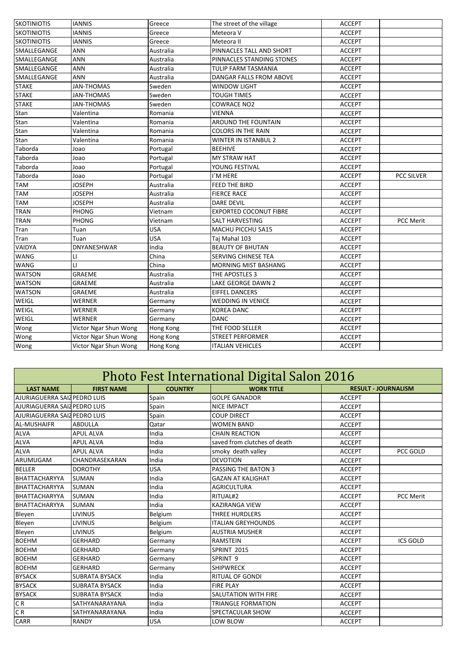| <b>SKOTINIOTIS</b> | <b>IANNIS</b>         | Greece     | The street of the village     | <b>ACCEPT</b> |                   |
|--------------------|-----------------------|------------|-------------------------------|---------------|-------------------|
| <b>SKOTINIOTIS</b> | <b>IANNIS</b>         | Greece     | Meteora V                     | <b>ACCEPT</b> |                   |
| <b>SKOTINIOTIS</b> | <b>IANNIS</b>         | Greece     | Meteora II                    | <b>ACCEPT</b> |                   |
| SMALLEGANGE        | ANN                   | Australia  | PINNACLES TALL AND SHORT      | <b>ACCEPT</b> |                   |
| SMALLEGANGE        | <b>ANN</b>            | Australia  | PINNACLES STANDING STONES     | <b>ACCEPT</b> |                   |
| SMALLEGANGE        | ANN                   | Australia  | TULIP FARM TASMANIA           | <b>ACCEPT</b> |                   |
| SMALLEGANGE        | ANN                   | Australia  | DANGAR FALLS FROM ABOVE       | <b>ACCEPT</b> |                   |
| <b>STAKE</b>       | <b>JAN-THOMAS</b>     | Sweden     | WINDOW LIGHT                  | <b>ACCEPT</b> |                   |
| <b>STAKE</b>       | JAN-THOMAS            | Sweden     | TOUGH TIMES                   | <b>ACCEPT</b> |                   |
| <b>STAKE</b>       | JAN-THOMAS            | Sweden     | <b>COWRACE NO2</b>            | <b>ACCEPT</b> |                   |
| Stan               | Valentina             | Romania    | VIENNA                        | <b>ACCEPT</b> |                   |
| Stan               | Valentina             | Romania    | AROUND THE FOUNTAIN           | <b>ACCEPT</b> |                   |
| Stan               | Valentina             | Romania    | <b>COLORS IN THE RAIN</b>     | <b>ACCEPT</b> |                   |
| Stan               | Valentina             | Romania    | <b>WINTER IN ISTANBUL 2</b>   | <b>ACCEPT</b> |                   |
| Taborda            | Joao                  | Portugal   | <b>BEEHIVE</b>                | <b>ACCEPT</b> |                   |
| Taborda            | Joao                  | Portugal   | MY STRAW HAT                  | <b>ACCEPT</b> |                   |
| Taborda            | Joao                  | Portugal   | YOUNG FESTIVAL                | <b>ACCEPT</b> |                   |
| Taborda            | Joao                  | Portugal   | I'M HERE                      | <b>ACCEPT</b> | <b>PCC SILVER</b> |
| TAM                | JOSEPH                | Australia  | FEED THE BIRD                 | <b>ACCEPT</b> |                   |
| TAM                | JOSEPH                | Australia  | <b>FIERCE RACE</b>            | <b>ACCEPT</b> |                   |
| TAM                | <b>JOSEPH</b>         | Australia  | DARE DEVIL                    | <b>ACCEPT</b> |                   |
| <b>TRAN</b>        | <b>PHONG</b>          | Vietnam    | <b>EXPORTED COCONUT FIBRE</b> | <b>ACCEPT</b> |                   |
| <b>TRAN</b>        | PHONG                 | Vietnam    | SALT HARVESTING               | <b>ACCEPT</b> | <b>PCC Merit</b>  |
| Tran               | Tuan                  | <b>USA</b> | MACHU PICCHU 5A15             | <b>ACCEPT</b> |                   |
| Tran               | Tuan                  | <b>USA</b> | Taj Mahal 103                 | <b>ACCEPT</b> |                   |
| <b>VAIDYA</b>      | DNYANESHWAR           | India      | <b>BEAUTY OF BHUTAN</b>       | <b>ACCEPT</b> |                   |
| <b>WANG</b>        | LI                    | China      | SERVING CHINESE TEA           | ACCEPT        |                   |
| <b>WANG</b>        | LI                    | China      | MORNING MIST BASHANG          | <b>ACCEPT</b> |                   |
| <b>WATSON</b>      | <b>GRAEME</b>         | Australia  | THE APOSTLES 3                | <b>ACCEPT</b> |                   |
| <b>WATSON</b>      | <b>GRAEME</b>         | Australia  | LAKE GEORGE DAWN 2            | <b>ACCEPT</b> |                   |
| <b>WATSON</b>      | <b>GRAEME</b>         | Australia  | <b>EIFFEL DANCERS</b>         | <b>ACCEPT</b> |                   |
| <b>WEIGL</b>       | WERNER                | Germany    | <b>WEDDING IN VENICE</b>      | <b>ACCEPT</b> |                   |
| <b>WEIGL</b>       | WERNER                | Germany    | <b>KOREA DANC</b>             | <b>ACCEPT</b> |                   |
| <b>WEIGL</b>       | WERNER                | Germany    | <b>DANC</b>                   | <b>ACCEPT</b> |                   |
| Wong               | Victor Ngar Shun Wong | Hong Kong  | THE FOOD SELLER               | <b>ACCEPT</b> |                   |
| Wong               | Victor Ngar Shun Wong | Hong Kong  | <b>STREET PERFORMER</b>       | <b>ACCEPT</b> |                   |
| Wong               | Victor Ngar Shun Wong | Hong Kong  | <b>ITALIAN VEHICLES</b>       | <b>ACCEPT</b> |                   |

| Photo Fest International Digital Salon 2016 |                       |                |                              |                            |                  |  |
|---------------------------------------------|-----------------------|----------------|------------------------------|----------------------------|------------------|--|
| <b>LAST NAME</b>                            | <b>FIRST NAME</b>     | <b>COUNTRY</b> | <b>WORK TITLE</b>            | <b>RESULT - JOURNALISM</b> |                  |  |
| AJURIAGUERRA SAIZ PEDRO LUIS                |                       | Spain          | <b>GOLPE GANADOR</b>         | <b>ACCEPT</b>              |                  |  |
| AJURIAGUERRA SAIZ PEDRO LUIS                |                       | Spain          | <b>NICE IMPACT</b>           | <b>ACCEPT</b>              |                  |  |
| AJURIAGUERRA SAIZ PEDRO LUIS                |                       | Spain          | <b>COUP DIRECT</b>           | <b>ACCEPT</b>              |                  |  |
| <b>AL-MUSHAIFR</b>                          | <b>ABDULLA</b>        | Qatar          | <b>WOMEN BAND</b>            | <b>ACCEPT</b>              |                  |  |
| <b>ALVA</b>                                 | <b>APUL ALVA</b>      | India          | <b>CHAIN REACTION</b>        | <b>ACCEPT</b>              |                  |  |
| <b>ALVA</b>                                 | <b>APUL ALVA</b>      | India          | saved from clutches of death | <b>ACCEPT</b>              |                  |  |
| <b>ALVA</b>                                 | <b>APUL ALVA</b>      | India          | smoky death valley           | <b>ACCEPT</b>              | PCC GOLD         |  |
| ARUMUGAM                                    | CHANDRASEKARAN        | India          | <b>DEVOTION</b>              | <b>ACCEPT</b>              |                  |  |
| <b>BELLER</b>                               | <b>DOROTHY</b>        | <b>USA</b>     | PASSING THE BATON 3          | <b>ACCEPT</b>              |                  |  |
| <b>BHATTACHARYYA</b>                        | <b>SUMAN</b>          | India          | <b>GAZAN AT KALIGHAT</b>     | <b>ACCEPT</b>              |                  |  |
| BHATTACHARYYA                               | <b>SUMAN</b>          | India          | <b>AGRICULTURA</b>           | <b>ACCEPT</b>              |                  |  |
| <b>BHATTACHARYYA</b>                        | <b>SUMAN</b>          | India          | RITUAL#2                     | <b>ACCEPT</b>              | <b>PCC Merit</b> |  |
| <b>BHATTACHARYYA</b>                        | <b>SUMAN</b>          | India          | <b>KAZIRANGA VIEW</b>        | <b>ACCEPT</b>              |                  |  |
| Bleyen                                      | <b>LIVINUS</b>        | Belgium        | <b>THREE HURDLERS</b>        | <b>ACCEPT</b>              |                  |  |
| Bleyen                                      | <b>LIVINUS</b>        | Belgium        | <b>ITALIAN GREYHOUNDS</b>    | <b>ACCEPT</b>              |                  |  |
| Bleyen                                      | <b>LIVINUS</b>        | Belgium        | <b>AUSTRIA MUSHER</b>        | <b>ACCEPT</b>              |                  |  |
| <b>BOEHM</b>                                | <b>GERHARD</b>        | Germany        | <b>RAMSTEIN</b>              | <b>ACCEPT</b>              | <b>ICS GOLD</b>  |  |
| <b>BOEHM</b>                                | <b>GERHARD</b>        | Germany        | <b>SPRINT 2015</b>           | <b>ACCEPT</b>              |                  |  |
| <b>BOEHM</b>                                | <b>GERHARD</b>        | Germany        | SPRINT <sub>9</sub>          | <b>ACCEPT</b>              |                  |  |
| <b>BOEHM</b>                                | <b>GERHARD</b>        | Germany        | <b>SHIPWRECK</b>             | <b>ACCEPT</b>              |                  |  |
| <b>BYSACK</b>                               | <b>SUBRATA BYSACK</b> | India          | <b>RITUAL OF GONDI</b>       | <b>ACCEPT</b>              |                  |  |
| <b>BYSACK</b>                               | <b>SUBRATA BYSACK</b> | India          | <b>FIRE PLAY</b>             | <b>ACCEPT</b>              |                  |  |
| <b>BYSACK</b>                               | <b>SUBRATA BYSACK</b> | India          | <b>SALUTATION WITH FIRE</b>  | <b>ACCEPT</b>              |                  |  |
| C <sub>R</sub>                              | SATHYANARAYANA        | India          | <b>TRIANGLE FORMATION</b>    | <b>ACCEPT</b>              |                  |  |
| CR                                          | SATHYANARAYANA        | India          | SPECTACULAR SHOW             | <b>ACCEPT</b>              |                  |  |
| <b>CARR</b>                                 | <b>RANDY</b>          | <b>USA</b>     | LOW BLOW                     | <b>ACCEPT</b>              |                  |  |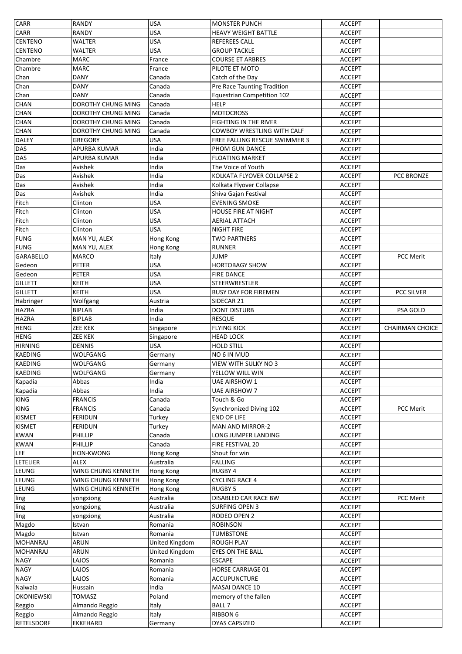| <b>CARR</b>       | <b>RANDY</b>       | USA            | <b>MONSTER PUNCH</b>              | <b>ACCEPT</b> |                        |
|-------------------|--------------------|----------------|-----------------------------------|---------------|------------------------|
| <b>CARR</b>       | <b>RANDY</b>       | <b>USA</b>     | <b>HEAVY WEIGHT BATTLE</b>        | <b>ACCEPT</b> |                        |
| <b>CENTENO</b>    | <b>WALTER</b>      | <b>USA</b>     | <b>REFEREES CALL</b>              | <b>ACCEPT</b> |                        |
| <b>CENTENO</b>    | <b>WALTER</b>      | <b>USA</b>     | <b>GROUP TACKLE</b>               | <b>ACCEPT</b> |                        |
| Chambre           | MARC               | France         | <b>COURSE ET ARBRES</b>           | <b>ACCEPT</b> |                        |
| Chambre           | <b>MARC</b>        | France         | PILOTE ET MOTO                    | <b>ACCEPT</b> |                        |
| Chan              | DANY               | Canada         | Catch of the Day                  | <b>ACCEPT</b> |                        |
| Chan              | DANY               | Canada         | Pre Race Taunting Tradition       | <b>ACCEPT</b> |                        |
| Chan              | DANY               | Canada         | <b>Equestrian Competition 102</b> | <b>ACCEPT</b> |                        |
|                   |                    |                |                                   |               |                        |
| CHAN              | DOROTHY CHUNG MING | Canada         | <b>HELP</b>                       | <b>ACCEPT</b> |                        |
| <b>CHAN</b>       | DOROTHY CHUNG MING | Canada         | <b>MOTOCROSS</b>                  | <b>ACCEPT</b> |                        |
| <b>CHAN</b>       | DOROTHY CHUNG MING | Canada         | <b>FIGHTING IN THE RIVER</b>      | <b>ACCEPT</b> |                        |
| <b>CHAN</b>       | DOROTHY CHUNG MING | Canada         | COWBOY WRESTLING WITH CALF        | <b>ACCEPT</b> |                        |
| <b>DALEY</b>      | <b>GREGORY</b>     | <b>USA</b>     | FREE FALLING RESCUE SWIMMER 3     | <b>ACCEPT</b> |                        |
| DAS               | APURBA KUMAR       | India          | PHOM GUN DANCE                    | <b>ACCEPT</b> |                        |
| DAS               | APURBA KUMAR       | India          | <b>FLOATING MARKET</b>            | <b>ACCEPT</b> |                        |
| Das               | Avishek            | India          | The Voice of Youth                | <b>ACCEPT</b> |                        |
| Das               | Avishek            | India          | KOLKATA FLYOVER COLLAPSE 2        | <b>ACCEPT</b> | PCC BRONZE             |
| Das               | Avishek            | India          | Kolkata Flyover Collapse          | <b>ACCEPT</b> |                        |
| Das               | Avishek            | India          | Shiva Gajan Festival              | <b>ACCEPT</b> |                        |
| Fitch             | Clinton            | <b>USA</b>     | <b>EVENING SMOKE</b>              | <b>ACCEPT</b> |                        |
|                   |                    | <b>USA</b>     |                                   |               |                        |
| Fitch             | Clinton            |                | <b>HOUSE FIRE AT NIGHT</b>        | <b>ACCEPT</b> |                        |
| Fitch             | Clinton            | <b>USA</b>     | <b>AERIAL ATTACH</b>              | <b>ACCEPT</b> |                        |
| Fitch             | Clinton            | <b>USA</b>     | <b>NIGHT FIRE</b>                 | <b>ACCEPT</b> |                        |
| <b>FUNG</b>       | MAN YU, ALEX       | Hong Kong      | <b>TWO PARTNERS</b>               | <b>ACCEPT</b> |                        |
| <b>FUNG</b>       | MAN YU, ALEX       | Hong Kong      | <b>RUNNER</b>                     | <b>ACCEPT</b> |                        |
| <b>GARABELLO</b>  | MARCO              | Italy          | <b>JUMP</b>                       | <b>ACCEPT</b> | PCC Merit              |
| Gedeon            | PETER              | <b>USA</b>     | <b>HORTOBAGY SHOW</b>             | <b>ACCEPT</b> |                        |
| Gedeon            | PETER              | <b>USA</b>     | <b>FIRE DANCE</b>                 | <b>ACCEPT</b> |                        |
| <b>GILLETT</b>    | KEITH              | <b>USA</b>     | <b>STEERWRESTLER</b>              | <b>ACCEPT</b> |                        |
| <b>GILLETT</b>    | <b>KEITH</b>       | <b>USA</b>     | <b>BUSY DAY FOR FIREMEN</b>       | <b>ACCEPT</b> | <b>PCC SILVER</b>      |
| Habringer         | Wolfgang           | Austria        | SIDECAR 21                        | <b>ACCEPT</b> |                        |
| <b>HAZRA</b>      | BIPLAB             | India          | <b>DONT DISTURB</b>               | <b>ACCEPT</b> | PSA GOLD               |
| <b>HAZRA</b>      | <b>BIPLAB</b>      | India          | <b>RESQUE</b>                     | <b>ACCEPT</b> |                        |
|                   |                    |                |                                   |               |                        |
|                   |                    |                |                                   |               |                        |
| <b>HENG</b>       | ZEE KEK            | Singapore      | <b>FLYING KICK</b>                | <b>ACCEPT</b> | <b>CHAIRMAN CHOICE</b> |
| <b>HENG</b>       | <b>ZEE KEK</b>     | Singapore      | <b>HEAD LOCK</b>                  | <b>ACCEPT</b> |                        |
| <b>HIRNING</b>    | <b>DENNIS</b>      | <b>USA</b>     | <b>HOLD STILL</b>                 | <b>ACCEPT</b> |                        |
| <b>KAEDING</b>    | WOLFGANG           | Germany        | NO 6 IN MUD                       | <b>ACCEPT</b> |                        |
| <b>KAEDING</b>    | WOLFGANG           | Germany        | <b>VIEW WITH SULKY NO 3</b>       | <b>ACCEPT</b> |                        |
| <b>KAEDING</b>    | WOLFGANG           | Germany        | YELLOW WILL WIN                   | <b>ACCEPT</b> |                        |
| Kapadia           | Abbas              | India          | UAE AIRSHOW 1                     | <b>ACCEPT</b> |                        |
| Kapadia           | Abbas              | India          | <b>UAE AIRSHOW 7</b>              | <b>ACCEPT</b> |                        |
| <b>KING</b>       | <b>FRANCIS</b>     | Canada         | Touch & Go                        | <b>ACCEPT</b> |                        |
| <b>KING</b>       | <b>FRANCIS</b>     | Canada         | Synchronized Diving 102           | <b>ACCEPT</b> | PCC Merit              |
|                   | FERIDUN            | Turkey         | <b>END OF LIFE</b>                | <b>ACCEPT</b> |                        |
| <b>KISMET</b>     |                    |                |                                   |               |                        |
| <b>KISMET</b>     | FERIDUN            | Turkey         | <b>MAN AND MIRROR-2</b>           | <b>ACCEPT</b> |                        |
| <b>KWAN</b>       | PHILLIP            | Canada         | LONG JUMPER LANDING               | <b>ACCEPT</b> |                        |
| <b>KWAN</b>       | PHILLIP            | Canada         | FIRE FESTIVAL 20                  | <b>ACCEPT</b> |                        |
| LEE               | HON-KWONG          | Hong Kong      | Shout for win                     | <b>ACCEPT</b> |                        |
| LETELIER          | ALEX               | Australia      | <b>FALLING</b>                    | <b>ACCEPT</b> |                        |
| LEUNG             | WING CHUNG KENNETH | Hong Kong      | RUGBY 4                           | <b>ACCEPT</b> |                        |
| LEUNG             | WING CHUNG KENNETH | Hong Kong      | <b>CYCLING RACE 4</b>             | <b>ACCEPT</b> |                        |
| LEUNG             | WING CHUNG KENNETH | Hong Kong      | <b>RUGBY 5</b>                    | <b>ACCEPT</b> |                        |
| ling              | yongxiong          | Australia      | DISABLED CAR RACE BW              | <b>ACCEPT</b> | <b>PCC Merit</b>       |
| ling              | yongxiong          | Australia      | <b>SURFING OPEN 3</b>             | <b>ACCEPT</b> |                        |
| ling              | yongxiong          | Australia      | RODEO OPEN 2                      | <b>ACCEPT</b> |                        |
|                   | Istvan             | Romania        | <b>ROBINSON</b>                   | <b>ACCEPT</b> |                        |
| Magdo             | Istvan             | Romania        | <b>TUMBSTONE</b>                  | <b>ACCEPT</b> |                        |
| Magdo             |                    |                |                                   |               |                        |
| <b>MOHANRAJ</b>   | ARUN               | United Kingdom | <b>ROUGH PLAY</b>                 | <b>ACCEPT</b> |                        |
| <b>MOHANRAJ</b>   | ARUN               | United Kingdom | <b>EYES ON THE BALL</b>           | <b>ACCEPT</b> |                        |
| <b>NAGY</b>       | LAJOS              | Romania        | <b>ESCAPE</b>                     | <b>ACCEPT</b> |                        |
| <b>NAGY</b>       | LAJOS              | Romania        | <b>HORSE CARRIAGE 01</b>          | <b>ACCEPT</b> |                        |
| <b>NAGY</b>       | LAJOS              | Romania        | <b>ACCUPUNCTURE</b>               | <b>ACCEPT</b> |                        |
| Nalwala           | Hussain            | India          | MASAI DANCE 10                    | <b>ACCEPT</b> |                        |
| <b>OKONIEWSKI</b> | <b>TOMASZ</b>      | Poland         | memory of the fallen              | <b>ACCEPT</b> |                        |
| Reggio            | Almando Reggio     | Italy          | <b>BALL 7</b>                     | <b>ACCEPT</b> |                        |
| Reggio            | Almando Reggio     | Italy          | RIBBON 6                          | <b>ACCEPT</b> |                        |